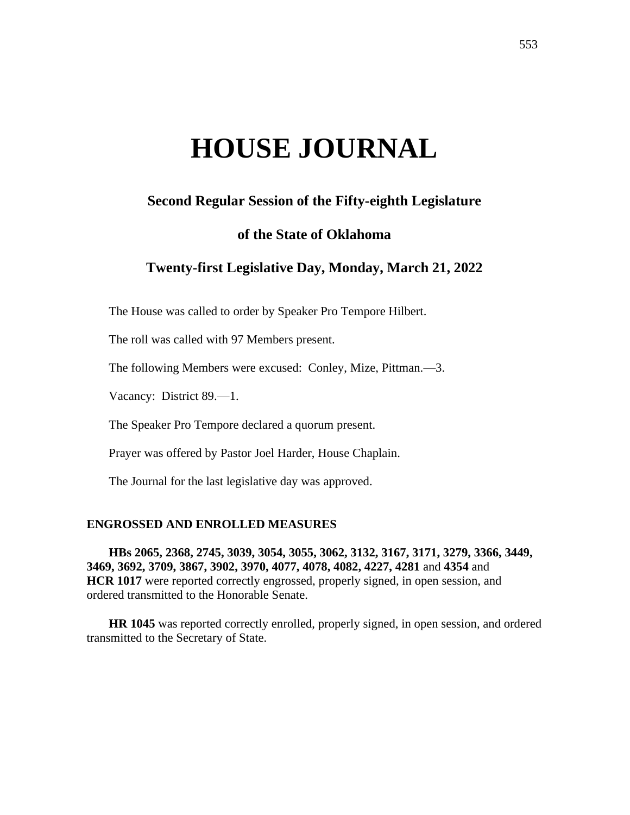# **HOUSE JOURNAL**

# **Second Regular Session of the Fifty-eighth Legislature**

# **of the State of Oklahoma**

# **Twenty-first Legislative Day, Monday, March 21, 2022**

The House was called to order by Speaker Pro Tempore Hilbert.

The roll was called with 97 Members present.

The following Members were excused: Conley, Mize, Pittman.—3.

Vacancy: District 89.—1.

The Speaker Pro Tempore declared a quorum present.

Prayer was offered by Pastor Joel Harder, House Chaplain.

The Journal for the last legislative day was approved.

## **ENGROSSED AND ENROLLED MEASURES**

**HBs 2065, 2368, 2745, 3039, 3054, 3055, 3062, 3132, 3167, 3171, 3279, 3366, 3449, 3469, 3692, 3709, 3867, 3902, 3970, 4077, 4078, 4082, 4227, 4281** and **4354** and **HCR 1017** were reported correctly engrossed, properly signed, in open session, and ordered transmitted to the Honorable Senate.

**HR 1045** was reported correctly enrolled, properly signed, in open session, and ordered transmitted to the Secretary of State.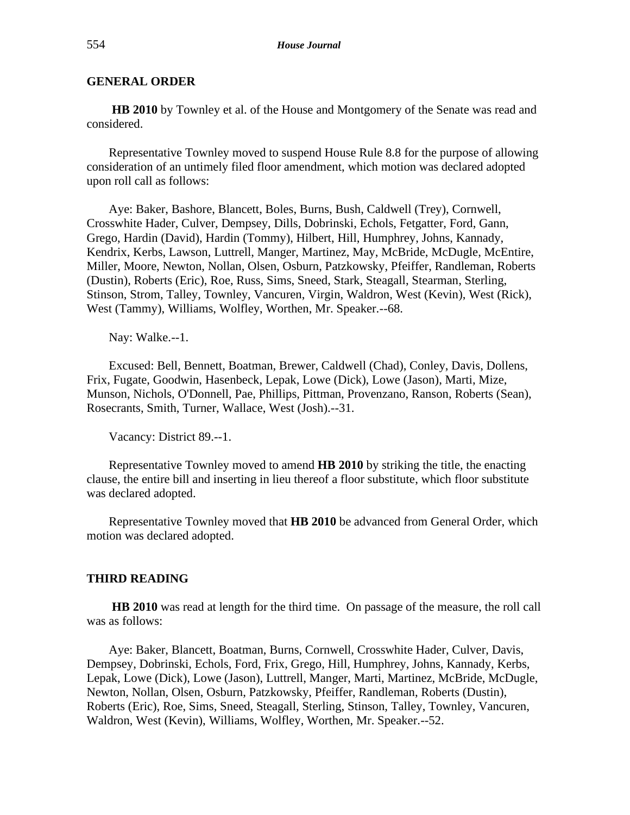## **GENERAL ORDER**

**HB 2010** by Townley et al. of the House and Montgomery of the Senate was read and considered.

Representative Townley moved to suspend House Rule 8.8 for the purpose of allowing consideration of an untimely filed floor amendment, which motion was declared adopted upon roll call as follows:

Aye: Baker, Bashore, Blancett, Boles, Burns, Bush, Caldwell (Trey), Cornwell, Crosswhite Hader, Culver, Dempsey, Dills, Dobrinski, Echols, Fetgatter, Ford, Gann, Grego, Hardin (David), Hardin (Tommy), Hilbert, Hill, Humphrey, Johns, Kannady, Kendrix, Kerbs, Lawson, Luttrell, Manger, Martinez, May, McBride, McDugle, McEntire, Miller, Moore, Newton, Nollan, Olsen, Osburn, Patzkowsky, Pfeiffer, Randleman, Roberts (Dustin), Roberts (Eric), Roe, Russ, Sims, Sneed, Stark, Steagall, Stearman, Sterling, Stinson, Strom, Talley, Townley, Vancuren, Virgin, Waldron, West (Kevin), West (Rick), West (Tammy), Williams, Wolfley, Worthen, Mr. Speaker.--68.

Nay: Walke.--1.

Excused: Bell, Bennett, Boatman, Brewer, Caldwell (Chad), Conley, Davis, Dollens, Frix, Fugate, Goodwin, Hasenbeck, Lepak, Lowe (Dick), Lowe (Jason), Marti, Mize, Munson, Nichols, O'Donnell, Pae, Phillips, Pittman, Provenzano, Ranson, Roberts (Sean), Rosecrants, Smith, Turner, Wallace, West (Josh).--31.

Vacancy: District 89.--1.

Representative Townley moved to amend **HB 2010** by striking the title, the enacting clause, the entire bill and inserting in lieu thereof a floor substitute, which floor substitute was declared adopted.

Representative Townley moved that **HB 2010** be advanced from General Order, which motion was declared adopted.

#### **THIRD READING**

**HB 2010** was read at length for the third time. On passage of the measure, the roll call was as follows:

Aye: Baker, Blancett, Boatman, Burns, Cornwell, Crosswhite Hader, Culver, Davis, Dempsey, Dobrinski, Echols, Ford, Frix, Grego, Hill, Humphrey, Johns, Kannady, Kerbs, Lepak, Lowe (Dick), Lowe (Jason), Luttrell, Manger, Marti, Martinez, McBride, McDugle, Newton, Nollan, Olsen, Osburn, Patzkowsky, Pfeiffer, Randleman, Roberts (Dustin), Roberts (Eric), Roe, Sims, Sneed, Steagall, Sterling, Stinson, Talley, Townley, Vancuren, Waldron, West (Kevin), Williams, Wolfley, Worthen, Mr. Speaker.--52.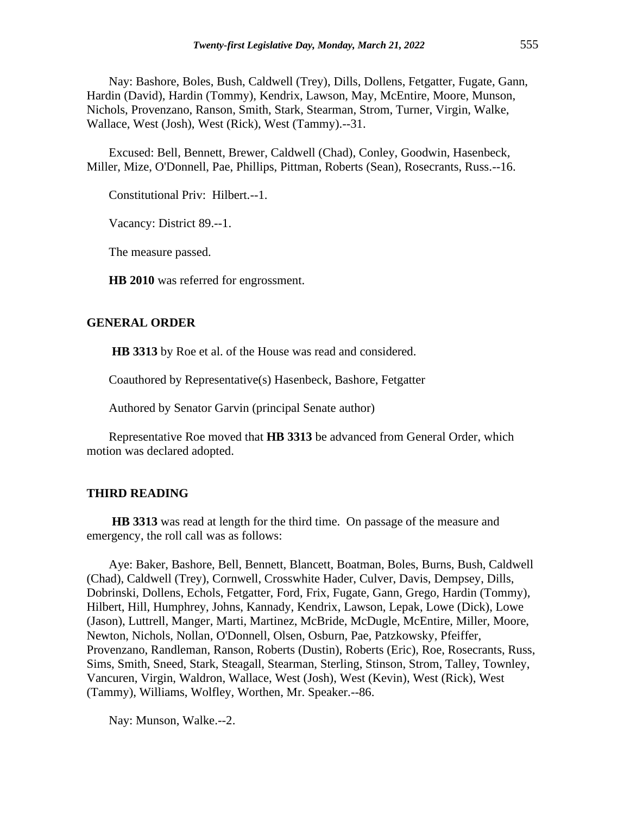Nay: Bashore, Boles, Bush, Caldwell (Trey), Dills, Dollens, Fetgatter, Fugate, Gann, Hardin (David), Hardin (Tommy), Kendrix, Lawson, May, McEntire, Moore, Munson, Nichols, Provenzano, Ranson, Smith, Stark, Stearman, Strom, Turner, Virgin, Walke, Wallace, West (Josh), West (Rick), West (Tammy).--31.

Excused: Bell, Bennett, Brewer, Caldwell (Chad), Conley, Goodwin, Hasenbeck, Miller, Mize, O'Donnell, Pae, Phillips, Pittman, Roberts (Sean), Rosecrants, Russ.--16.

Constitutional Priv: Hilbert.--1.

Vacancy: District 89.--1.

The measure passed.

**HB 2010** was referred for engrossment.

#### **GENERAL ORDER**

**HB 3313** by Roe et al. of the House was read and considered.

Coauthored by Representative(s) Hasenbeck, Bashore, Fetgatter

Authored by Senator Garvin (principal Senate author)

Representative Roe moved that **HB 3313** be advanced from General Order, which motion was declared adopted.

## **THIRD READING**

**HB 3313** was read at length for the third time. On passage of the measure and emergency, the roll call was as follows:

Aye: Baker, Bashore, Bell, Bennett, Blancett, Boatman, Boles, Burns, Bush, Caldwell (Chad), Caldwell (Trey), Cornwell, Crosswhite Hader, Culver, Davis, Dempsey, Dills, Dobrinski, Dollens, Echols, Fetgatter, Ford, Frix, Fugate, Gann, Grego, Hardin (Tommy), Hilbert, Hill, Humphrey, Johns, Kannady, Kendrix, Lawson, Lepak, Lowe (Dick), Lowe (Jason), Luttrell, Manger, Marti, Martinez, McBride, McDugle, McEntire, Miller, Moore, Newton, Nichols, Nollan, O'Donnell, Olsen, Osburn, Pae, Patzkowsky, Pfeiffer, Provenzano, Randleman, Ranson, Roberts (Dustin), Roberts (Eric), Roe, Rosecrants, Russ, Sims, Smith, Sneed, Stark, Steagall, Stearman, Sterling, Stinson, Strom, Talley, Townley, Vancuren, Virgin, Waldron, Wallace, West (Josh), West (Kevin), West (Rick), West (Tammy), Williams, Wolfley, Worthen, Mr. Speaker.--86.

Nay: Munson, Walke.--2.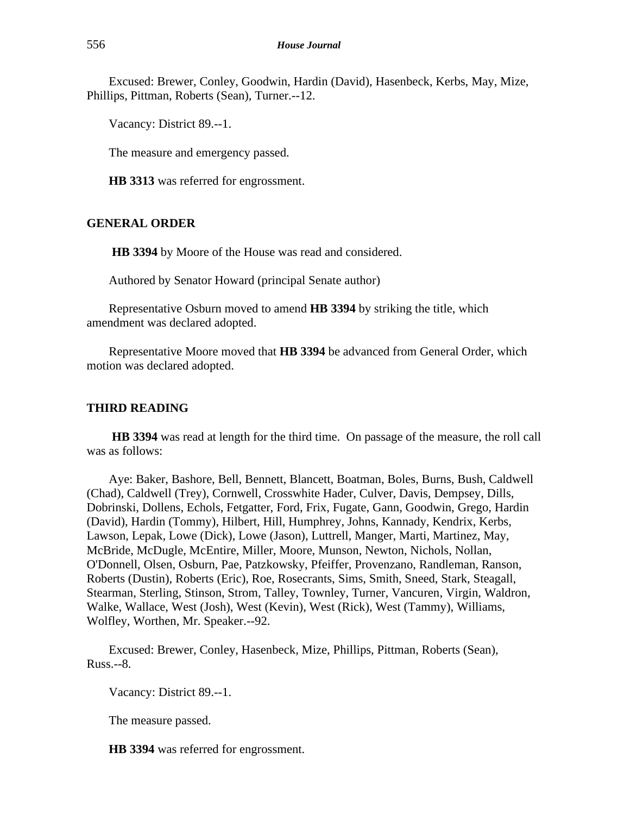Excused: Brewer, Conley, Goodwin, Hardin (David), Hasenbeck, Kerbs, May, Mize, Phillips, Pittman, Roberts (Sean), Turner.--12.

Vacancy: District 89.--1.

The measure and emergency passed.

**HB 3313** was referred for engrossment.

## **GENERAL ORDER**

**HB 3394** by Moore of the House was read and considered.

Authored by Senator Howard (principal Senate author)

Representative Osburn moved to amend **HB 3394** by striking the title, which amendment was declared adopted.

Representative Moore moved that **HB 3394** be advanced from General Order, which motion was declared adopted.

## **THIRD READING**

**HB 3394** was read at length for the third time. On passage of the measure, the roll call was as follows:

Aye: Baker, Bashore, Bell, Bennett, Blancett, Boatman, Boles, Burns, Bush, Caldwell (Chad), Caldwell (Trey), Cornwell, Crosswhite Hader, Culver, Davis, Dempsey, Dills, Dobrinski, Dollens, Echols, Fetgatter, Ford, Frix, Fugate, Gann, Goodwin, Grego, Hardin (David), Hardin (Tommy), Hilbert, Hill, Humphrey, Johns, Kannady, Kendrix, Kerbs, Lawson, Lepak, Lowe (Dick), Lowe (Jason), Luttrell, Manger, Marti, Martinez, May, McBride, McDugle, McEntire, Miller, Moore, Munson, Newton, Nichols, Nollan, O'Donnell, Olsen, Osburn, Pae, Patzkowsky, Pfeiffer, Provenzano, Randleman, Ranson, Roberts (Dustin), Roberts (Eric), Roe, Rosecrants, Sims, Smith, Sneed, Stark, Steagall, Stearman, Sterling, Stinson, Strom, Talley, Townley, Turner, Vancuren, Virgin, Waldron, Walke, Wallace, West (Josh), West (Kevin), West (Rick), West (Tammy), Williams, Wolfley, Worthen, Mr. Speaker.--92.

Excused: Brewer, Conley, Hasenbeck, Mize, Phillips, Pittman, Roberts (Sean), Russ.--8.

Vacancy: District 89.--1.

The measure passed.

**HB 3394** was referred for engrossment.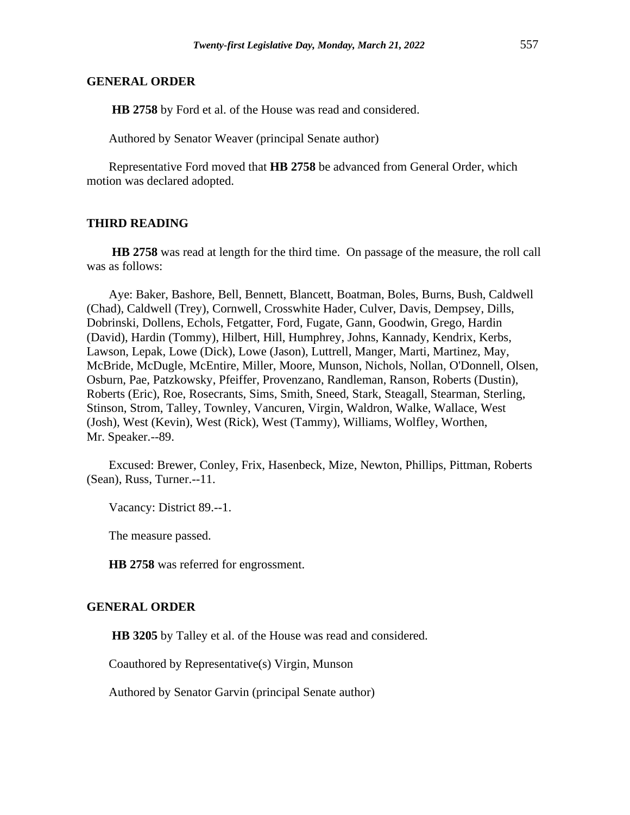#### **GENERAL ORDER**

**HB 2758** by Ford et al. of the House was read and considered.

Authored by Senator Weaver (principal Senate author)

Representative Ford moved that **HB 2758** be advanced from General Order, which motion was declared adopted.

## **THIRD READING**

**HB 2758** was read at length for the third time. On passage of the measure, the roll call was as follows:

Aye: Baker, Bashore, Bell, Bennett, Blancett, Boatman, Boles, Burns, Bush, Caldwell (Chad), Caldwell (Trey), Cornwell, Crosswhite Hader, Culver, Davis, Dempsey, Dills, Dobrinski, Dollens, Echols, Fetgatter, Ford, Fugate, Gann, Goodwin, Grego, Hardin (David), Hardin (Tommy), Hilbert, Hill, Humphrey, Johns, Kannady, Kendrix, Kerbs, Lawson, Lepak, Lowe (Dick), Lowe (Jason), Luttrell, Manger, Marti, Martinez, May, McBride, McDugle, McEntire, Miller, Moore, Munson, Nichols, Nollan, O'Donnell, Olsen, Osburn, Pae, Patzkowsky, Pfeiffer, Provenzano, Randleman, Ranson, Roberts (Dustin), Roberts (Eric), Roe, Rosecrants, Sims, Smith, Sneed, Stark, Steagall, Stearman, Sterling, Stinson, Strom, Talley, Townley, Vancuren, Virgin, Waldron, Walke, Wallace, West (Josh), West (Kevin), West (Rick), West (Tammy), Williams, Wolfley, Worthen, Mr. Speaker.--89.

Excused: Brewer, Conley, Frix, Hasenbeck, Mize, Newton, Phillips, Pittman, Roberts (Sean), Russ, Turner.--11.

Vacancy: District 89.--1.

The measure passed.

**HB 2758** was referred for engrossment.

#### **GENERAL ORDER**

**HB 3205** by Talley et al. of the House was read and considered.

Coauthored by Representative(s) Virgin, Munson

Authored by Senator Garvin (principal Senate author)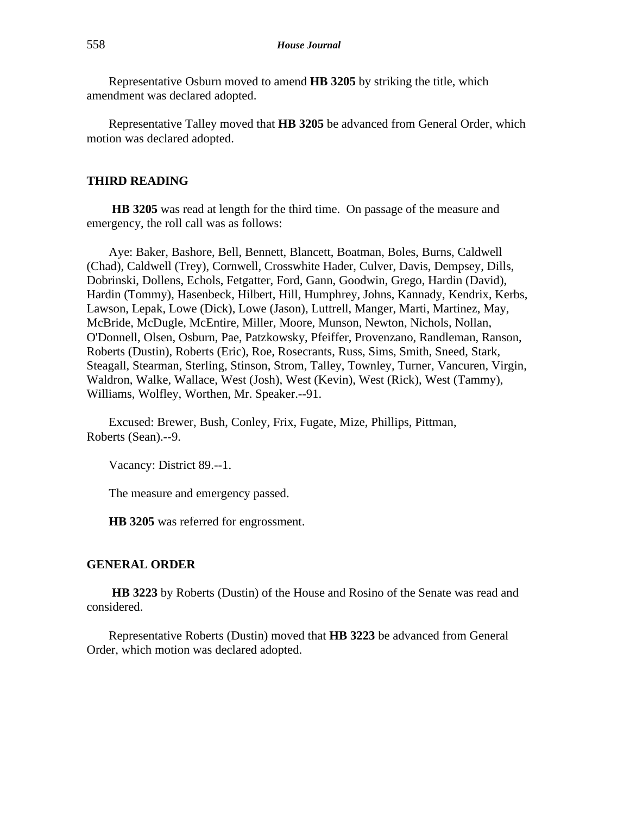Representative Osburn moved to amend **HB 3205** by striking the title, which amendment was declared adopted.

Representative Talley moved that **HB 3205** be advanced from General Order, which motion was declared adopted.

## **THIRD READING**

**HB 3205** was read at length for the third time. On passage of the measure and emergency, the roll call was as follows:

Aye: Baker, Bashore, Bell, Bennett, Blancett, Boatman, Boles, Burns, Caldwell (Chad), Caldwell (Trey), Cornwell, Crosswhite Hader, Culver, Davis, Dempsey, Dills, Dobrinski, Dollens, Echols, Fetgatter, Ford, Gann, Goodwin, Grego, Hardin (David), Hardin (Tommy), Hasenbeck, Hilbert, Hill, Humphrey, Johns, Kannady, Kendrix, Kerbs, Lawson, Lepak, Lowe (Dick), Lowe (Jason), Luttrell, Manger, Marti, Martinez, May, McBride, McDugle, McEntire, Miller, Moore, Munson, Newton, Nichols, Nollan, O'Donnell, Olsen, Osburn, Pae, Patzkowsky, Pfeiffer, Provenzano, Randleman, Ranson, Roberts (Dustin), Roberts (Eric), Roe, Rosecrants, Russ, Sims, Smith, Sneed, Stark, Steagall, Stearman, Sterling, Stinson, Strom, Talley, Townley, Turner, Vancuren, Virgin, Waldron, Walke, Wallace, West (Josh), West (Kevin), West (Rick), West (Tammy), Williams, Wolfley, Worthen, Mr. Speaker.--91.

Excused: Brewer, Bush, Conley, Frix, Fugate, Mize, Phillips, Pittman, Roberts (Sean).--9.

Vacancy: District 89.--1.

The measure and emergency passed.

**HB 3205** was referred for engrossment.

#### **GENERAL ORDER**

**HB 3223** by Roberts (Dustin) of the House and Rosino of the Senate was read and considered.

Representative Roberts (Dustin) moved that **HB 3223** be advanced from General Order, which motion was declared adopted.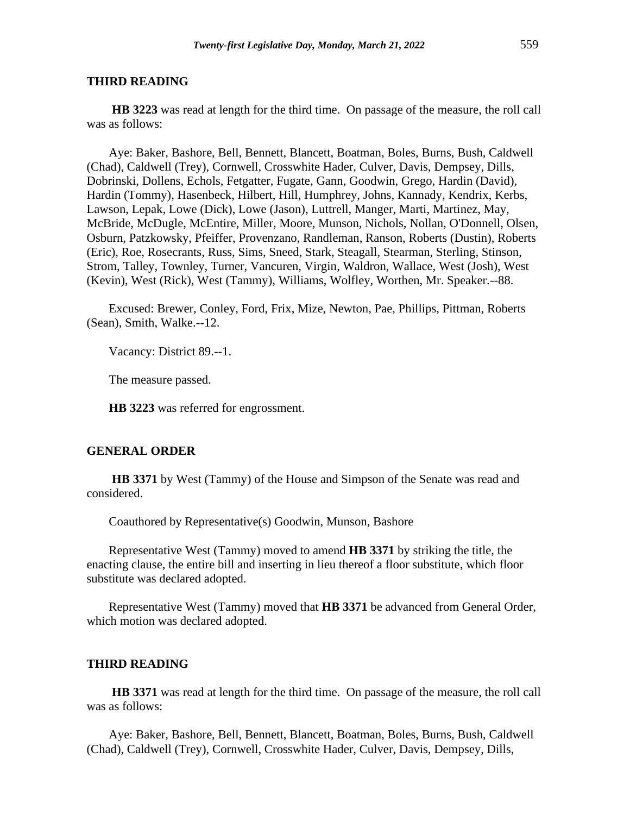**HB 3223** was read at length for the third time. On passage of the measure, the roll call was as follows:

Aye: Baker, Bashore, Bell, Bennett, Blancett, Boatman, Boles, Burns, Bush, Caldwell (Chad), Caldwell (Trey), Cornwell, Crosswhite Hader, Culver, Davis, Dempsey, Dills, Dobrinski, Dollens, Echols, Fetgatter, Fugate, Gann, Goodwin, Grego, Hardin (David), Hardin (Tommy), Hasenbeck, Hilbert, Hill, Humphrey, Johns, Kannady, Kendrix, Kerbs, Lawson, Lepak, Lowe (Dick), Lowe (Jason), Luttrell, Manger, Marti, Martinez, May, McBride, McDugle, McEntire, Miller, Moore, Munson, Nichols, Nollan, O'Donnell, Olsen, Osburn, Patzkowsky, Pfeiffer, Provenzano, Randleman, Ranson, Roberts (Dustin), Roberts (Eric), Roe, Rosecrants, Russ, Sims, Sneed, Stark, Steagall, Stearman, Sterling, Stinson, Strom, Talley, Townley, Turner, Vancuren, Virgin, Waldron, Wallace, West (Josh), West (Kevin), West (Rick), West (Tammy), Williams, Wolfley, Worthen, Mr. Speaker.--88.

Excused: Brewer, Conley, Ford, Frix, Mize, Newton, Pae, Phillips, Pittman, Roberts (Sean), Smith, Walke.--12.

Vacancy: District 89.--1.

The measure passed.

**HB 3223** was referred for engrossment.

#### **GENERAL ORDER**

**HB 3371** by West (Tammy) of the House and Simpson of the Senate was read and considered.

Coauthored by Representative(s) Goodwin, Munson, Bashore

Representative West (Tammy) moved to amend **HB 3371** by striking the title, the enacting clause, the entire bill and inserting in lieu thereof a floor substitute, which floor substitute was declared adopted.

Representative West (Tammy) moved that **HB 3371** be advanced from General Order, which motion was declared adopted.

#### **THIRD READING**

**HB 3371** was read at length for the third time. On passage of the measure, the roll call was as follows:

Aye: Baker, Bashore, Bell, Bennett, Blancett, Boatman, Boles, Burns, Bush, Caldwell (Chad), Caldwell (Trey), Cornwell, Crosswhite Hader, Culver, Davis, Dempsey, Dills,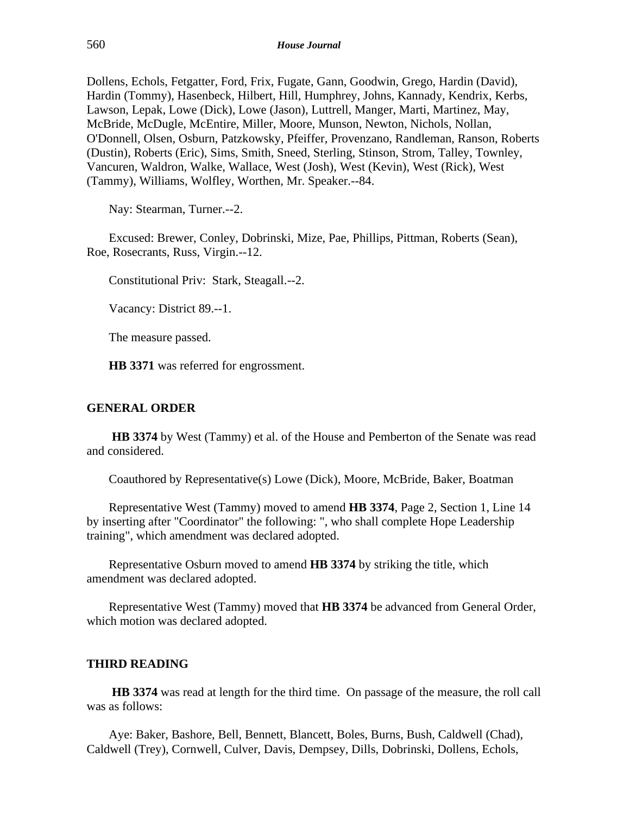Dollens, Echols, Fetgatter, Ford, Frix, Fugate, Gann, Goodwin, Grego, Hardin (David), Hardin (Tommy), Hasenbeck, Hilbert, Hill, Humphrey, Johns, Kannady, Kendrix, Kerbs, Lawson, Lepak, Lowe (Dick), Lowe (Jason), Luttrell, Manger, Marti, Martinez, May, McBride, McDugle, McEntire, Miller, Moore, Munson, Newton, Nichols, Nollan, O'Donnell, Olsen, Osburn, Patzkowsky, Pfeiffer, Provenzano, Randleman, Ranson, Roberts (Dustin), Roberts (Eric), Sims, Smith, Sneed, Sterling, Stinson, Strom, Talley, Townley, Vancuren, Waldron, Walke, Wallace, West (Josh), West (Kevin), West (Rick), West (Tammy), Williams, Wolfley, Worthen, Mr. Speaker.--84.

Nay: Stearman, Turner.--2.

Excused: Brewer, Conley, Dobrinski, Mize, Pae, Phillips, Pittman, Roberts (Sean), Roe, Rosecrants, Russ, Virgin.--12.

Constitutional Priv: Stark, Steagall.--2.

Vacancy: District 89.--1.

The measure passed.

**HB 3371** was referred for engrossment.

## **GENERAL ORDER**

**HB 3374** by West (Tammy) et al. of the House and Pemberton of the Senate was read and considered.

Coauthored by Representative(s) Lowe (Dick), Moore, McBride, Baker, Boatman

Representative West (Tammy) moved to amend **HB 3374**, Page 2, Section 1, Line 14 by inserting after "Coordinator" the following: ", who shall complete Hope Leadership training", which amendment was declared adopted.

Representative Osburn moved to amend **HB 3374** by striking the title, which amendment was declared adopted.

Representative West (Tammy) moved that **HB 3374** be advanced from General Order, which motion was declared adopted.

#### **THIRD READING**

**HB 3374** was read at length for the third time. On passage of the measure, the roll call was as follows:

Aye: Baker, Bashore, Bell, Bennett, Blancett, Boles, Burns, Bush, Caldwell (Chad), Caldwell (Trey), Cornwell, Culver, Davis, Dempsey, Dills, Dobrinski, Dollens, Echols,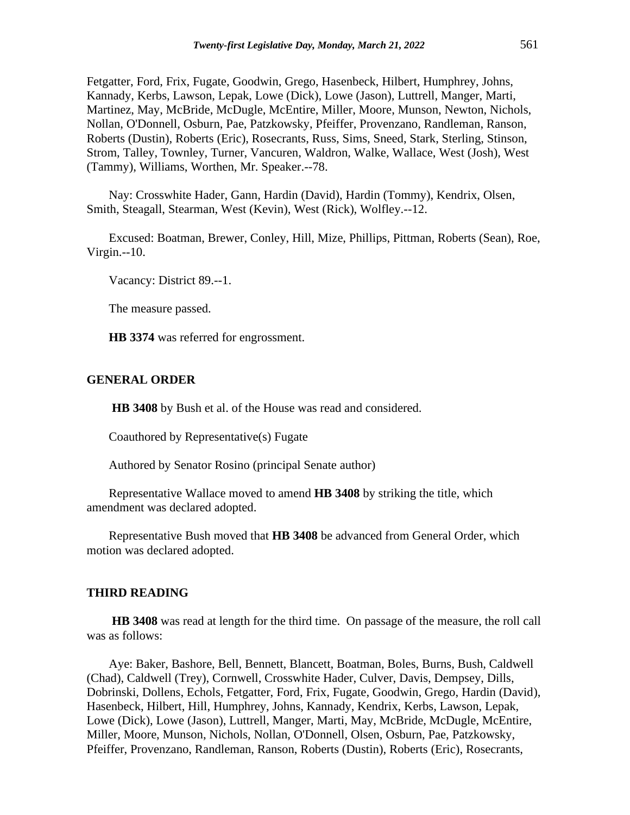Fetgatter, Ford, Frix, Fugate, Goodwin, Grego, Hasenbeck, Hilbert, Humphrey, Johns, Kannady, Kerbs, Lawson, Lepak, Lowe (Dick), Lowe (Jason), Luttrell, Manger, Marti, Martinez, May, McBride, McDugle, McEntire, Miller, Moore, Munson, Newton, Nichols, Nollan, O'Donnell, Osburn, Pae, Patzkowsky, Pfeiffer, Provenzano, Randleman, Ranson, Roberts (Dustin), Roberts (Eric), Rosecrants, Russ, Sims, Sneed, Stark, Sterling, Stinson, Strom, Talley, Townley, Turner, Vancuren, Waldron, Walke, Wallace, West (Josh), West (Tammy), Williams, Worthen, Mr. Speaker.--78.

Nay: Crosswhite Hader, Gann, Hardin (David), Hardin (Tommy), Kendrix, Olsen, Smith, Steagall, Stearman, West (Kevin), West (Rick), Wolfley.--12.

Excused: Boatman, Brewer, Conley, Hill, Mize, Phillips, Pittman, Roberts (Sean), Roe, Virgin.--10.

Vacancy: District 89.--1.

The measure passed.

**HB 3374** was referred for engrossment.

## **GENERAL ORDER**

**HB 3408** by Bush et al. of the House was read and considered.

Coauthored by Representative(s) Fugate

Authored by Senator Rosino (principal Senate author)

Representative Wallace moved to amend **HB 3408** by striking the title, which amendment was declared adopted.

Representative Bush moved that **HB 3408** be advanced from General Order, which motion was declared adopted.

#### **THIRD READING**

**HB 3408** was read at length for the third time. On passage of the measure, the roll call was as follows:

Aye: Baker, Bashore, Bell, Bennett, Blancett, Boatman, Boles, Burns, Bush, Caldwell (Chad), Caldwell (Trey), Cornwell, Crosswhite Hader, Culver, Davis, Dempsey, Dills, Dobrinski, Dollens, Echols, Fetgatter, Ford, Frix, Fugate, Goodwin, Grego, Hardin (David), Hasenbeck, Hilbert, Hill, Humphrey, Johns, Kannady, Kendrix, Kerbs, Lawson, Lepak, Lowe (Dick), Lowe (Jason), Luttrell, Manger, Marti, May, McBride, McDugle, McEntire, Miller, Moore, Munson, Nichols, Nollan, O'Donnell, Olsen, Osburn, Pae, Patzkowsky, Pfeiffer, Provenzano, Randleman, Ranson, Roberts (Dustin), Roberts (Eric), Rosecrants,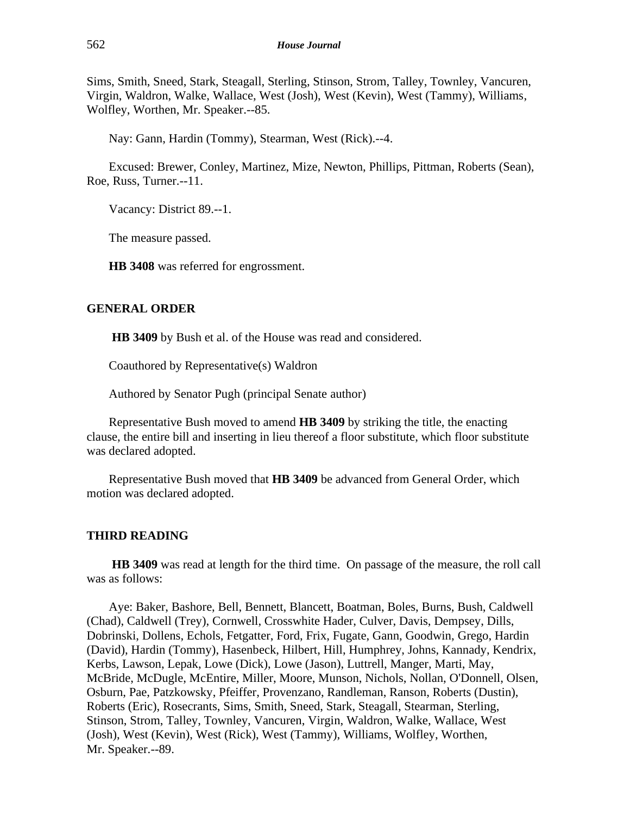Sims, Smith, Sneed, Stark, Steagall, Sterling, Stinson, Strom, Talley, Townley, Vancuren, Virgin, Waldron, Walke, Wallace, West (Josh), West (Kevin), West (Tammy), Williams, Wolfley, Worthen, Mr. Speaker.--85.

Nay: Gann, Hardin (Tommy), Stearman, West (Rick).--4.

Excused: Brewer, Conley, Martinez, Mize, Newton, Phillips, Pittman, Roberts (Sean), Roe, Russ, Turner.--11.

Vacancy: District 89.--1.

The measure passed.

**HB 3408** was referred for engrossment.

## **GENERAL ORDER**

**HB 3409** by Bush et al. of the House was read and considered.

Coauthored by Representative(s) Waldron

Authored by Senator Pugh (principal Senate author)

Representative Bush moved to amend **HB 3409** by striking the title, the enacting clause, the entire bill and inserting in lieu thereof a floor substitute, which floor substitute was declared adopted.

Representative Bush moved that **HB 3409** be advanced from General Order, which motion was declared adopted.

#### **THIRD READING**

**HB 3409** was read at length for the third time. On passage of the measure, the roll call was as follows:

Aye: Baker, Bashore, Bell, Bennett, Blancett, Boatman, Boles, Burns, Bush, Caldwell (Chad), Caldwell (Trey), Cornwell, Crosswhite Hader, Culver, Davis, Dempsey, Dills, Dobrinski, Dollens, Echols, Fetgatter, Ford, Frix, Fugate, Gann, Goodwin, Grego, Hardin (David), Hardin (Tommy), Hasenbeck, Hilbert, Hill, Humphrey, Johns, Kannady, Kendrix, Kerbs, Lawson, Lepak, Lowe (Dick), Lowe (Jason), Luttrell, Manger, Marti, May, McBride, McDugle, McEntire, Miller, Moore, Munson, Nichols, Nollan, O'Donnell, Olsen, Osburn, Pae, Patzkowsky, Pfeiffer, Provenzano, Randleman, Ranson, Roberts (Dustin), Roberts (Eric), Rosecrants, Sims, Smith, Sneed, Stark, Steagall, Stearman, Sterling, Stinson, Strom, Talley, Townley, Vancuren, Virgin, Waldron, Walke, Wallace, West (Josh), West (Kevin), West (Rick), West (Tammy), Williams, Wolfley, Worthen, Mr. Speaker.--89.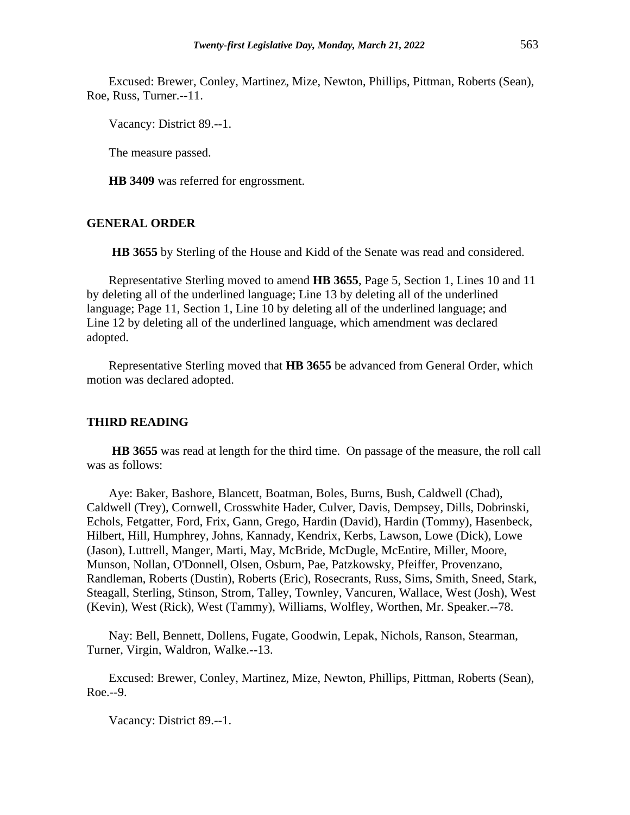Excused: Brewer, Conley, Martinez, Mize, Newton, Phillips, Pittman, Roberts (Sean), Roe, Russ, Turner.--11.

Vacancy: District 89.--1.

The measure passed.

**HB 3409** was referred for engrossment.

#### **GENERAL ORDER**

**HB 3655** by Sterling of the House and Kidd of the Senate was read and considered.

Representative Sterling moved to amend **HB 3655**, Page 5, Section 1, Lines 10 and 11 by deleting all of the underlined language; Line 13 by deleting all of the underlined language; Page 11, Section 1, Line 10 by deleting all of the underlined language; and Line 12 by deleting all of the underlined language, which amendment was declared adopted.

Representative Sterling moved that **HB 3655** be advanced from General Order, which motion was declared adopted.

#### **THIRD READING**

**HB 3655** was read at length for the third time. On passage of the measure, the roll call was as follows:

Aye: Baker, Bashore, Blancett, Boatman, Boles, Burns, Bush, Caldwell (Chad), Caldwell (Trey), Cornwell, Crosswhite Hader, Culver, Davis, Dempsey, Dills, Dobrinski, Echols, Fetgatter, Ford, Frix, Gann, Grego, Hardin (David), Hardin (Tommy), Hasenbeck, Hilbert, Hill, Humphrey, Johns, Kannady, Kendrix, Kerbs, Lawson, Lowe (Dick), Lowe (Jason), Luttrell, Manger, Marti, May, McBride, McDugle, McEntire, Miller, Moore, Munson, Nollan, O'Donnell, Olsen, Osburn, Pae, Patzkowsky, Pfeiffer, Provenzano, Randleman, Roberts (Dustin), Roberts (Eric), Rosecrants, Russ, Sims, Smith, Sneed, Stark, Steagall, Sterling, Stinson, Strom, Talley, Townley, Vancuren, Wallace, West (Josh), West (Kevin), West (Rick), West (Tammy), Williams, Wolfley, Worthen, Mr. Speaker.--78.

Nay: Bell, Bennett, Dollens, Fugate, Goodwin, Lepak, Nichols, Ranson, Stearman, Turner, Virgin, Waldron, Walke.--13.

Excused: Brewer, Conley, Martinez, Mize, Newton, Phillips, Pittman, Roberts (Sean), Roe.--9.

Vacancy: District 89.--1.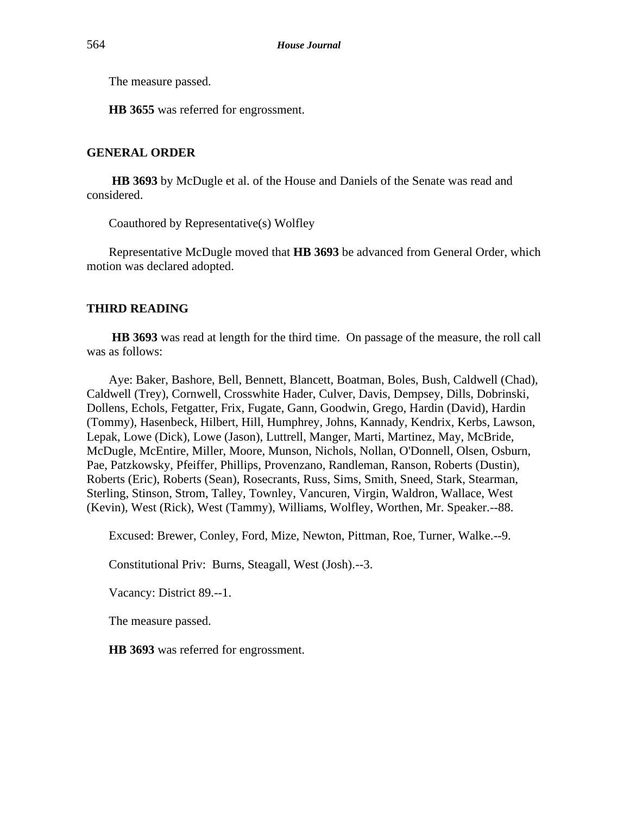The measure passed.

**HB 3655** was referred for engrossment.

## **GENERAL ORDER**

**HB 3693** by McDugle et al. of the House and Daniels of the Senate was read and considered.

Coauthored by Representative(s) Wolfley

Representative McDugle moved that **HB 3693** be advanced from General Order, which motion was declared adopted.

## **THIRD READING**

**HB 3693** was read at length for the third time. On passage of the measure, the roll call was as follows:

Aye: Baker, Bashore, Bell, Bennett, Blancett, Boatman, Boles, Bush, Caldwell (Chad), Caldwell (Trey), Cornwell, Crosswhite Hader, Culver, Davis, Dempsey, Dills, Dobrinski, Dollens, Echols, Fetgatter, Frix, Fugate, Gann, Goodwin, Grego, Hardin (David), Hardin (Tommy), Hasenbeck, Hilbert, Hill, Humphrey, Johns, Kannady, Kendrix, Kerbs, Lawson, Lepak, Lowe (Dick), Lowe (Jason), Luttrell, Manger, Marti, Martinez, May, McBride, McDugle, McEntire, Miller, Moore, Munson, Nichols, Nollan, O'Donnell, Olsen, Osburn, Pae, Patzkowsky, Pfeiffer, Phillips, Provenzano, Randleman, Ranson, Roberts (Dustin), Roberts (Eric), Roberts (Sean), Rosecrants, Russ, Sims, Smith, Sneed, Stark, Stearman, Sterling, Stinson, Strom, Talley, Townley, Vancuren, Virgin, Waldron, Wallace, West (Kevin), West (Rick), West (Tammy), Williams, Wolfley, Worthen, Mr. Speaker.--88.

Excused: Brewer, Conley, Ford, Mize, Newton, Pittman, Roe, Turner, Walke.--9.

Constitutional Priv: Burns, Steagall, West (Josh).--3.

Vacancy: District 89.--1.

The measure passed.

**HB 3693** was referred for engrossment.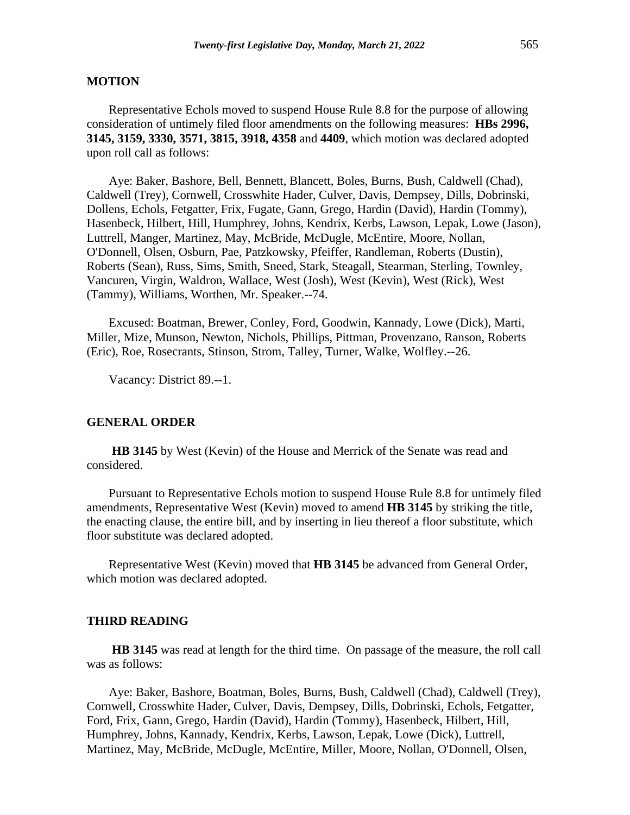## **MOTION**

Representative Echols moved to suspend House Rule 8.8 for the purpose of allowing consideration of untimely filed floor amendments on the following measures: **HBs 2996, 3145, 3159, 3330, 3571, 3815, 3918, 4358** and **4409**, which motion was declared adopted upon roll call as follows:

Aye: Baker, Bashore, Bell, Bennett, Blancett, Boles, Burns, Bush, Caldwell (Chad), Caldwell (Trey), Cornwell, Crosswhite Hader, Culver, Davis, Dempsey, Dills, Dobrinski, Dollens, Echols, Fetgatter, Frix, Fugate, Gann, Grego, Hardin (David), Hardin (Tommy), Hasenbeck, Hilbert, Hill, Humphrey, Johns, Kendrix, Kerbs, Lawson, Lepak, Lowe (Jason), Luttrell, Manger, Martinez, May, McBride, McDugle, McEntire, Moore, Nollan, O'Donnell, Olsen, Osburn, Pae, Patzkowsky, Pfeiffer, Randleman, Roberts (Dustin), Roberts (Sean), Russ, Sims, Smith, Sneed, Stark, Steagall, Stearman, Sterling, Townley, Vancuren, Virgin, Waldron, Wallace, West (Josh), West (Kevin), West (Rick), West (Tammy), Williams, Worthen, Mr. Speaker.--74.

Excused: Boatman, Brewer, Conley, Ford, Goodwin, Kannady, Lowe (Dick), Marti, Miller, Mize, Munson, Newton, Nichols, Phillips, Pittman, Provenzano, Ranson, Roberts (Eric), Roe, Rosecrants, Stinson, Strom, Talley, Turner, Walke, Wolfley.--26.

Vacancy: District 89.--1.

#### **GENERAL ORDER**

**HB 3145** by West (Kevin) of the House and Merrick of the Senate was read and considered.

Pursuant to Representative Echols motion to suspend House Rule 8.8 for untimely filed amendments, Representative West (Kevin) moved to amend **HB 3145** by striking the title, the enacting clause, the entire bill, and by inserting in lieu thereof a floor substitute, which floor substitute was declared adopted.

Representative West (Kevin) moved that **HB 3145** be advanced from General Order, which motion was declared adopted.

#### **THIRD READING**

**HB 3145** was read at length for the third time. On passage of the measure, the roll call was as follows:

Aye: Baker, Bashore, Boatman, Boles, Burns, Bush, Caldwell (Chad), Caldwell (Trey), Cornwell, Crosswhite Hader, Culver, Davis, Dempsey, Dills, Dobrinski, Echols, Fetgatter, Ford, Frix, Gann, Grego, Hardin (David), Hardin (Tommy), Hasenbeck, Hilbert, Hill, Humphrey, Johns, Kannady, Kendrix, Kerbs, Lawson, Lepak, Lowe (Dick), Luttrell, Martinez, May, McBride, McDugle, McEntire, Miller, Moore, Nollan, O'Donnell, Olsen,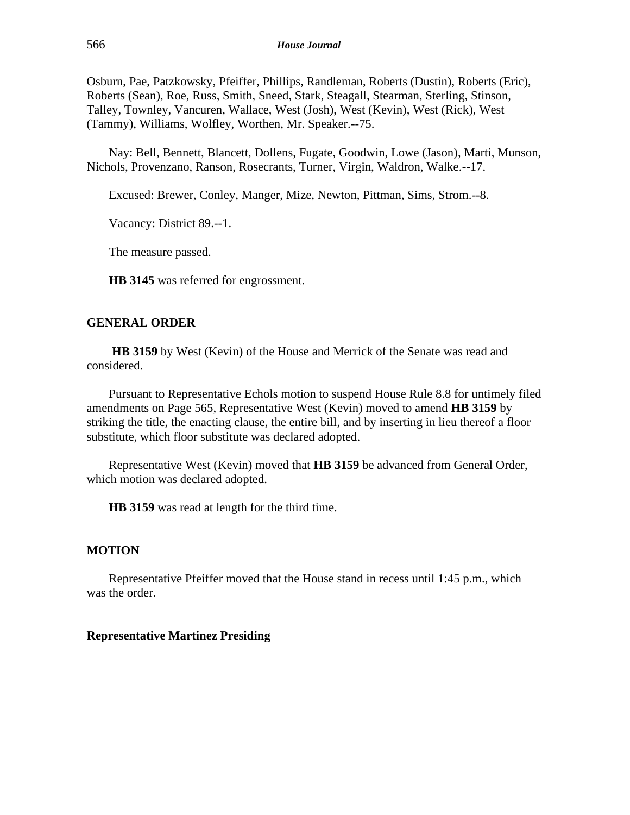Osburn, Pae, Patzkowsky, Pfeiffer, Phillips, Randleman, Roberts (Dustin), Roberts (Eric), Roberts (Sean), Roe, Russ, Smith, Sneed, Stark, Steagall, Stearman, Sterling, Stinson, Talley, Townley, Vancuren, Wallace, West (Josh), West (Kevin), West (Rick), West (Tammy), Williams, Wolfley, Worthen, Mr. Speaker.--75.

Nay: Bell, Bennett, Blancett, Dollens, Fugate, Goodwin, Lowe (Jason), Marti, Munson, Nichols, Provenzano, Ranson, Rosecrants, Turner, Virgin, Waldron, Walke.--17.

Excused: Brewer, Conley, Manger, Mize, Newton, Pittman, Sims, Strom.--8.

Vacancy: District 89.--1.

The measure passed.

**HB 3145** was referred for engrossment.

## **GENERAL ORDER**

**HB 3159** by West (Kevin) of the House and Merrick of the Senate was read and considered.

Pursuant to Representative Echols motion to suspend House Rule 8.8 for untimely filed amendments on Page 565, Representative West (Kevin) moved to amend **HB 3159** by striking the title, the enacting clause, the entire bill, and by inserting in lieu thereof a floor substitute, which floor substitute was declared adopted.

Representative West (Kevin) moved that **HB 3159** be advanced from General Order, which motion was declared adopted.

**HB 3159** was read at length for the third time.

#### **MOTION**

Representative Pfeiffer moved that the House stand in recess until 1:45 p.m., which was the order.

## **Representative Martinez Presiding**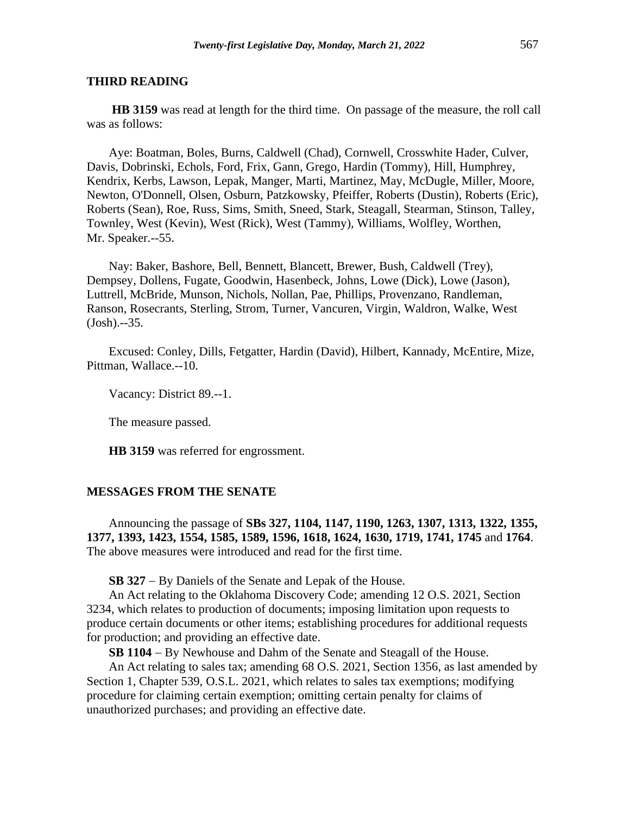**HB 3159** was read at length for the third time. On passage of the measure, the roll call was as follows:

Aye: Boatman, Boles, Burns, Caldwell (Chad), Cornwell, Crosswhite Hader, Culver, Davis, Dobrinski, Echols, Ford, Frix, Gann, Grego, Hardin (Tommy), Hill, Humphrey, Kendrix, Kerbs, Lawson, Lepak, Manger, Marti, Martinez, May, McDugle, Miller, Moore, Newton, O'Donnell, Olsen, Osburn, Patzkowsky, Pfeiffer, Roberts (Dustin), Roberts (Eric), Roberts (Sean), Roe, Russ, Sims, Smith, Sneed, Stark, Steagall, Stearman, Stinson, Talley, Townley, West (Kevin), West (Rick), West (Tammy), Williams, Wolfley, Worthen, Mr. Speaker.--55.

Nay: Baker, Bashore, Bell, Bennett, Blancett, Brewer, Bush, Caldwell (Trey), Dempsey, Dollens, Fugate, Goodwin, Hasenbeck, Johns, Lowe (Dick), Lowe (Jason), Luttrell, McBride, Munson, Nichols, Nollan, Pae, Phillips, Provenzano, Randleman, Ranson, Rosecrants, Sterling, Strom, Turner, Vancuren, Virgin, Waldron, Walke, West (Josh).--35.

Excused: Conley, Dills, Fetgatter, Hardin (David), Hilbert, Kannady, McEntire, Mize, Pittman, Wallace.--10.

Vacancy: District 89.--1.

The measure passed.

**HB 3159** was referred for engrossment.

#### **MESSAGES FROM THE SENATE**

Announcing the passage of **SBs 327, 1104, 1147, 1190, 1263, 1307, 1313, 1322, 1355, 1377, 1393, 1423, 1554, 1585, 1589, 1596, 1618, 1624, 1630, 1719, 1741, 1745** and **1764**. The above measures were introduced and read for the first time.

**SB 327** − By Daniels of the Senate and Lepak of the House.

An Act relating to the Oklahoma Discovery Code; amending 12 O.S. 2021, Section 3234, which relates to production of documents; imposing limitation upon requests to produce certain documents or other items; establishing procedures for additional requests for production; and providing an effective date.

**SB 1104** − By Newhouse and Dahm of the Senate and Steagall of the House.

An Act relating to sales tax; amending 68 O.S. 2021, Section 1356, as last amended by Section 1, Chapter 539, O.S.L. 2021, which relates to sales tax exemptions; modifying procedure for claiming certain exemption; omitting certain penalty for claims of unauthorized purchases; and providing an effective date.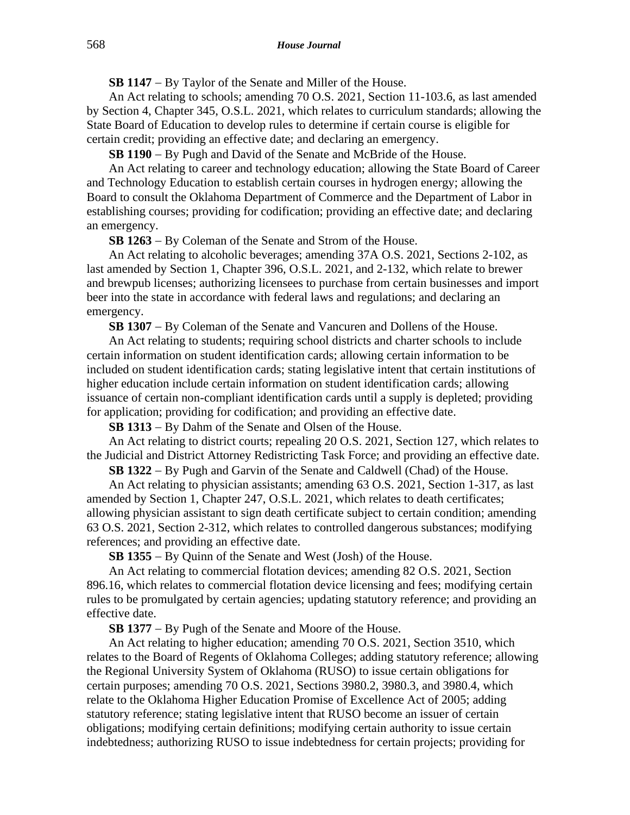**SB 1147** − By Taylor of the Senate and Miller of the House.

An Act relating to schools; amending 70 O.S. 2021, Section 11-103.6, as last amended by Section 4, Chapter 345, O.S.L. 2021, which relates to curriculum standards; allowing the State Board of Education to develop rules to determine if certain course is eligible for certain credit; providing an effective date; and declaring an emergency.

**SB 1190** − By Pugh and David of the Senate and McBride of the House.

An Act relating to career and technology education; allowing the State Board of Career and Technology Education to establish certain courses in hydrogen energy; allowing the Board to consult the Oklahoma Department of Commerce and the Department of Labor in establishing courses; providing for codification; providing an effective date; and declaring an emergency.

**SB 1263** − By Coleman of the Senate and Strom of the House.

An Act relating to alcoholic beverages; amending 37A O.S. 2021, Sections 2-102, as last amended by Section 1, Chapter 396, O.S.L. 2021, and 2-132, which relate to brewer and brewpub licenses; authorizing licensees to purchase from certain businesses and import beer into the state in accordance with federal laws and regulations; and declaring an emergency.

**SB 1307** − By Coleman of the Senate and Vancuren and Dollens of the House.

An Act relating to students; requiring school districts and charter schools to include certain information on student identification cards; allowing certain information to be included on student identification cards; stating legislative intent that certain institutions of higher education include certain information on student identification cards; allowing issuance of certain non-compliant identification cards until a supply is depleted; providing for application; providing for codification; and providing an effective date.

**SB 1313** − By Dahm of the Senate and Olsen of the House.

An Act relating to district courts; repealing 20 O.S. 2021, Section 127, which relates to the Judicial and District Attorney Redistricting Task Force; and providing an effective date.

**SB 1322** − By Pugh and Garvin of the Senate and Caldwell (Chad) of the House.

An Act relating to physician assistants; amending 63 O.S. 2021, Section 1-317, as last amended by Section 1, Chapter 247, O.S.L. 2021, which relates to death certificates; allowing physician assistant to sign death certificate subject to certain condition; amending 63 O.S. 2021, Section 2-312, which relates to controlled dangerous substances; modifying references; and providing an effective date.

**SB 1355** − By Quinn of the Senate and West (Josh) of the House.

An Act relating to commercial flotation devices; amending 82 O.S. 2021, Section 896.16, which relates to commercial flotation device licensing and fees; modifying certain rules to be promulgated by certain agencies; updating statutory reference; and providing an effective date.

**SB 1377** − By Pugh of the Senate and Moore of the House.

An Act relating to higher education; amending 70 O.S. 2021, Section 3510, which relates to the Board of Regents of Oklahoma Colleges; adding statutory reference; allowing the Regional University System of Oklahoma (RUSO) to issue certain obligations for certain purposes; amending 70 O.S. 2021, Sections 3980.2, 3980.3, and 3980.4, which relate to the Oklahoma Higher Education Promise of Excellence Act of 2005; adding statutory reference; stating legislative intent that RUSO become an issuer of certain obligations; modifying certain definitions; modifying certain authority to issue certain indebtedness; authorizing RUSO to issue indebtedness for certain projects; providing for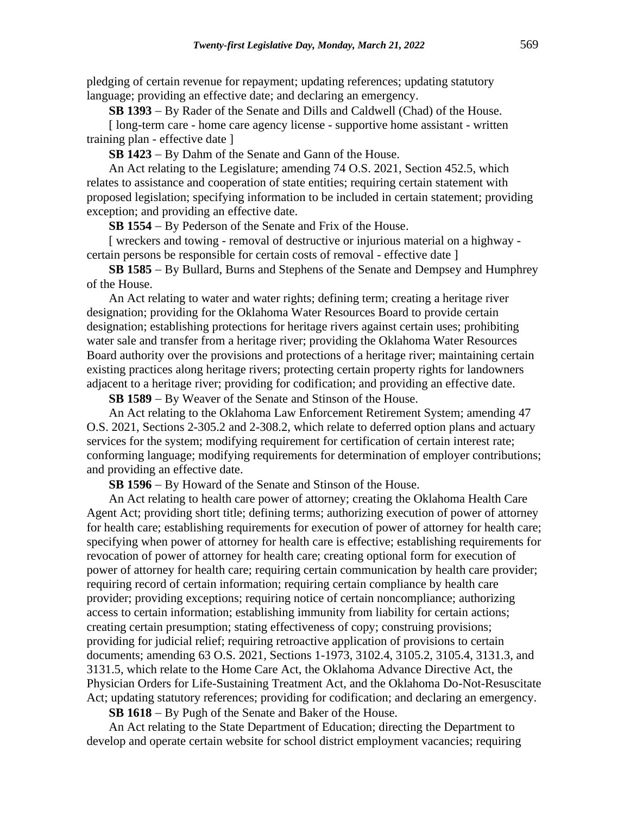pledging of certain revenue for repayment; updating references; updating statutory language; providing an effective date; and declaring an emergency.

**SB 1393** − By Rader of the Senate and Dills and Caldwell (Chad) of the House.

[ long-term care - home care agency license - supportive home assistant - written training plan - effective date ]

**SB 1423** − By Dahm of the Senate and Gann of the House.

An Act relating to the Legislature; amending 74 O.S. 2021, Section 452.5, which relates to assistance and cooperation of state entities; requiring certain statement with proposed legislation; specifying information to be included in certain statement; providing exception; and providing an effective date.

**SB 1554** − By Pederson of the Senate and Frix of the House.

[ wreckers and towing - removal of destructive or injurious material on a highway certain persons be responsible for certain costs of removal - effective date ]

**SB 1585** − By Bullard, Burns and Stephens of the Senate and Dempsey and Humphrey of the House.

An Act relating to water and water rights; defining term; creating a heritage river designation; providing for the Oklahoma Water Resources Board to provide certain designation; establishing protections for heritage rivers against certain uses; prohibiting water sale and transfer from a heritage river; providing the Oklahoma Water Resources Board authority over the provisions and protections of a heritage river; maintaining certain existing practices along heritage rivers; protecting certain property rights for landowners adjacent to a heritage river; providing for codification; and providing an effective date.

**SB 1589** − By Weaver of the Senate and Stinson of the House.

An Act relating to the Oklahoma Law Enforcement Retirement System; amending 47 O.S. 2021, Sections 2-305.2 and 2-308.2, which relate to deferred option plans and actuary services for the system; modifying requirement for certification of certain interest rate; conforming language; modifying requirements for determination of employer contributions; and providing an effective date.

**SB 1596** − By Howard of the Senate and Stinson of the House.

An Act relating to health care power of attorney; creating the Oklahoma Health Care Agent Act; providing short title; defining terms; authorizing execution of power of attorney for health care; establishing requirements for execution of power of attorney for health care; specifying when power of attorney for health care is effective; establishing requirements for revocation of power of attorney for health care; creating optional form for execution of power of attorney for health care; requiring certain communication by health care provider; requiring record of certain information; requiring certain compliance by health care provider; providing exceptions; requiring notice of certain noncompliance; authorizing access to certain information; establishing immunity from liability for certain actions; creating certain presumption; stating effectiveness of copy; construing provisions; providing for judicial relief; requiring retroactive application of provisions to certain documents; amending 63 O.S. 2021, Sections 1-1973, 3102.4, 3105.2, 3105.4, 3131.3, and 3131.5, which relate to the Home Care Act, the Oklahoma Advance Directive Act, the Physician Orders for Life-Sustaining Treatment Act, and the Oklahoma Do-Not-Resuscitate Act; updating statutory references; providing for codification; and declaring an emergency.

**SB 1618** − By Pugh of the Senate and Baker of the House.

An Act relating to the State Department of Education; directing the Department to develop and operate certain website for school district employment vacancies; requiring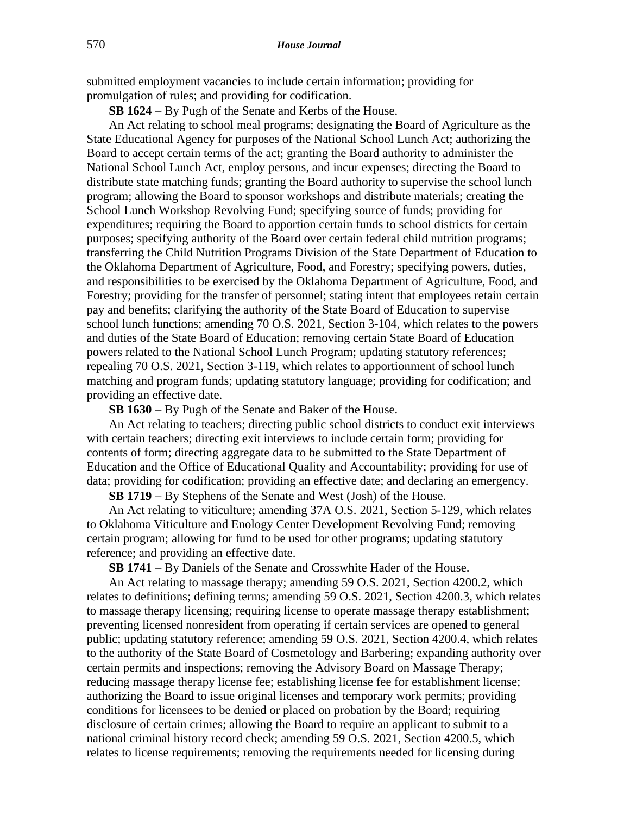submitted employment vacancies to include certain information; providing for promulgation of rules; and providing for codification.

**SB 1624** − By Pugh of the Senate and Kerbs of the House.

An Act relating to school meal programs; designating the Board of Agriculture as the State Educational Agency for purposes of the National School Lunch Act; authorizing the Board to accept certain terms of the act; granting the Board authority to administer the National School Lunch Act, employ persons, and incur expenses; directing the Board to distribute state matching funds; granting the Board authority to supervise the school lunch program; allowing the Board to sponsor workshops and distribute materials; creating the School Lunch Workshop Revolving Fund; specifying source of funds; providing for expenditures; requiring the Board to apportion certain funds to school districts for certain purposes; specifying authority of the Board over certain federal child nutrition programs; transferring the Child Nutrition Programs Division of the State Department of Education to the Oklahoma Department of Agriculture, Food, and Forestry; specifying powers, duties, and responsibilities to be exercised by the Oklahoma Department of Agriculture, Food, and Forestry; providing for the transfer of personnel; stating intent that employees retain certain pay and benefits; clarifying the authority of the State Board of Education to supervise school lunch functions; amending 70 O.S. 2021, Section 3-104, which relates to the powers and duties of the State Board of Education; removing certain State Board of Education powers related to the National School Lunch Program; updating statutory references; repealing 70 O.S. 2021, Section 3-119, which relates to apportionment of school lunch matching and program funds; updating statutory language; providing for codification; and providing an effective date.

**SB 1630** − By Pugh of the Senate and Baker of the House.

An Act relating to teachers; directing public school districts to conduct exit interviews with certain teachers; directing exit interviews to include certain form; providing for contents of form; directing aggregate data to be submitted to the State Department of Education and the Office of Educational Quality and Accountability; providing for use of data; providing for codification; providing an effective date; and declaring an emergency.

**SB 1719** − By Stephens of the Senate and West (Josh) of the House.

An Act relating to viticulture; amending 37A O.S. 2021, Section 5-129, which relates to Oklahoma Viticulture and Enology Center Development Revolving Fund; removing certain program; allowing for fund to be used for other programs; updating statutory reference; and providing an effective date.

**SB 1741** − By Daniels of the Senate and Crosswhite Hader of the House.

An Act relating to massage therapy; amending 59 O.S. 2021, Section 4200.2, which relates to definitions; defining terms; amending 59 O.S. 2021, Section 4200.3, which relates to massage therapy licensing; requiring license to operate massage therapy establishment; preventing licensed nonresident from operating if certain services are opened to general public; updating statutory reference; amending 59 O.S. 2021, Section 4200.4, which relates to the authority of the State Board of Cosmetology and Barbering; expanding authority over certain permits and inspections; removing the Advisory Board on Massage Therapy; reducing massage therapy license fee; establishing license fee for establishment license; authorizing the Board to issue original licenses and temporary work permits; providing conditions for licensees to be denied or placed on probation by the Board; requiring disclosure of certain crimes; allowing the Board to require an applicant to submit to a national criminal history record check; amending 59 O.S. 2021, Section 4200.5, which relates to license requirements; removing the requirements needed for licensing during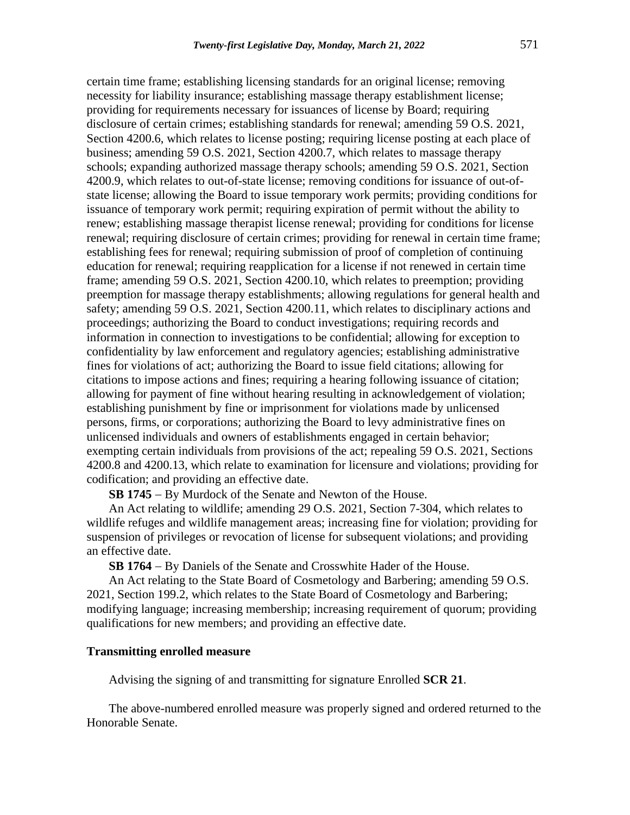certain time frame; establishing licensing standards for an original license; removing necessity for liability insurance; establishing massage therapy establishment license; providing for requirements necessary for issuances of license by Board; requiring disclosure of certain crimes; establishing standards for renewal; amending 59 O.S. 2021, Section 4200.6, which relates to license posting; requiring license posting at each place of business; amending 59 O.S. 2021, Section 4200.7, which relates to massage therapy schools; expanding authorized massage therapy schools; amending 59 O.S. 2021, Section 4200.9, which relates to out-of-state license; removing conditions for issuance of out-ofstate license; allowing the Board to issue temporary work permits; providing conditions for issuance of temporary work permit; requiring expiration of permit without the ability to renew; establishing massage therapist license renewal; providing for conditions for license renewal; requiring disclosure of certain crimes; providing for renewal in certain time frame; establishing fees for renewal; requiring submission of proof of completion of continuing education for renewal; requiring reapplication for a license if not renewed in certain time frame; amending 59 O.S. 2021, Section 4200.10, which relates to preemption; providing preemption for massage therapy establishments; allowing regulations for general health and safety; amending 59 O.S. 2021, Section 4200.11, which relates to disciplinary actions and proceedings; authorizing the Board to conduct investigations; requiring records and information in connection to investigations to be confidential; allowing for exception to confidentiality by law enforcement and regulatory agencies; establishing administrative fines for violations of act; authorizing the Board to issue field citations; allowing for citations to impose actions and fines; requiring a hearing following issuance of citation; allowing for payment of fine without hearing resulting in acknowledgement of violation; establishing punishment by fine or imprisonment for violations made by unlicensed persons, firms, or corporations; authorizing the Board to levy administrative fines on unlicensed individuals and owners of establishments engaged in certain behavior; exempting certain individuals from provisions of the act; repealing 59 O.S. 2021, Sections 4200.8 and 4200.13, which relate to examination for licensure and violations; providing for codification; and providing an effective date.

**SB 1745** − By Murdock of the Senate and Newton of the House.

An Act relating to wildlife; amending 29 O.S. 2021, Section 7-304, which relates to wildlife refuges and wildlife management areas; increasing fine for violation; providing for suspension of privileges or revocation of license for subsequent violations; and providing an effective date.

**SB 1764** − By Daniels of the Senate and Crosswhite Hader of the House.

An Act relating to the State Board of Cosmetology and Barbering; amending 59 O.S. 2021, Section 199.2, which relates to the State Board of Cosmetology and Barbering; modifying language; increasing membership; increasing requirement of quorum; providing qualifications for new members; and providing an effective date.

## **Transmitting enrolled measure**

Advising the signing of and transmitting for signature Enrolled **SCR 21**.

The above-numbered enrolled measure was properly signed and ordered returned to the Honorable Senate.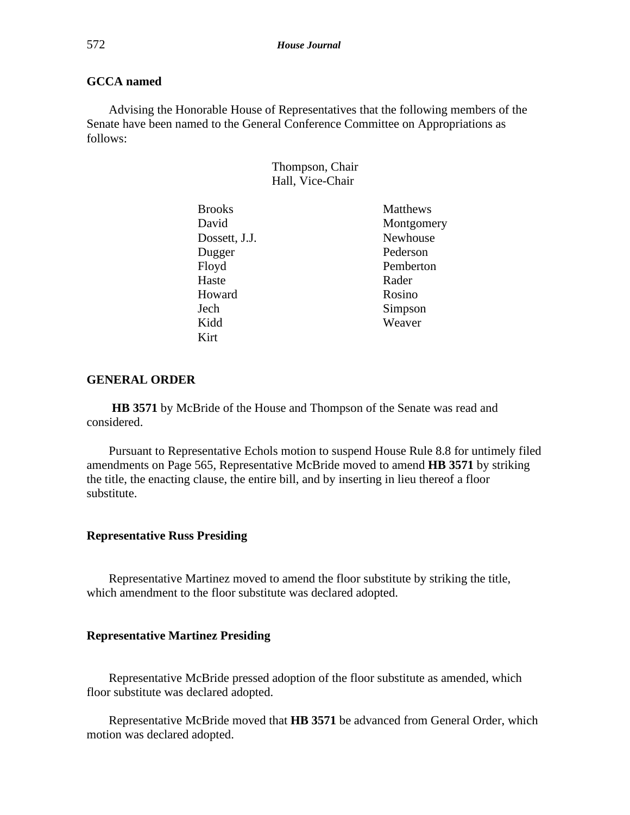# **GCCA named**

Advising the Honorable House of Representatives that the following members of the Senate have been named to the General Conference Committee on Appropriations as follows:

| Thompson, Chair  |  |
|------------------|--|
| Hall, Vice-Chair |  |

| <b>Brooks</b> | <b>Matthews</b> |
|---------------|-----------------|
| David         | Montgomery      |
| Dossett, J.J. | Newhouse        |
| Dugger        | Pederson        |
| Floyd         | Pemberton       |
| Haste         | Rader           |
| Howard        | Rosino          |
| Jech          | Simpson         |
| Kidd          | Weaver          |
| Kirt          |                 |

## **GENERAL ORDER**

**HB 3571** by McBride of the House and Thompson of the Senate was read and considered.

Pursuant to Representative Echols motion to suspend House Rule 8.8 for untimely filed amendments on Page 565, Representative McBride moved to amend **HB 3571** by striking the title, the enacting clause, the entire bill, and by inserting in lieu thereof a floor substitute.

#### **Representative Russ Presiding**

Representative Martinez moved to amend the floor substitute by striking the title, which amendment to the floor substitute was declared adopted.

## **Representative Martinez Presiding**

Representative McBride pressed adoption of the floor substitute as amended, which floor substitute was declared adopted.

Representative McBride moved that **HB 3571** be advanced from General Order, which motion was declared adopted.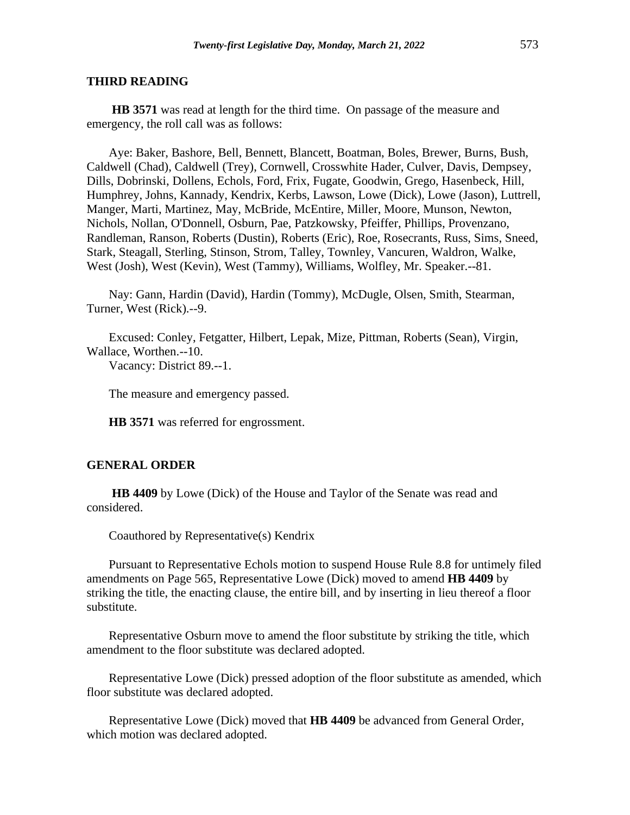**HB 3571** was read at length for the third time. On passage of the measure and emergency, the roll call was as follows:

Aye: Baker, Bashore, Bell, Bennett, Blancett, Boatman, Boles, Brewer, Burns, Bush, Caldwell (Chad), Caldwell (Trey), Cornwell, Crosswhite Hader, Culver, Davis, Dempsey, Dills, Dobrinski, Dollens, Echols, Ford, Frix, Fugate, Goodwin, Grego, Hasenbeck, Hill, Humphrey, Johns, Kannady, Kendrix, Kerbs, Lawson, Lowe (Dick), Lowe (Jason), Luttrell, Manger, Marti, Martinez, May, McBride, McEntire, Miller, Moore, Munson, Newton, Nichols, Nollan, O'Donnell, Osburn, Pae, Patzkowsky, Pfeiffer, Phillips, Provenzano, Randleman, Ranson, Roberts (Dustin), Roberts (Eric), Roe, Rosecrants, Russ, Sims, Sneed, Stark, Steagall, Sterling, Stinson, Strom, Talley, Townley, Vancuren, Waldron, Walke, West (Josh), West (Kevin), West (Tammy), Williams, Wolfley, Mr. Speaker.--81.

Nay: Gann, Hardin (David), Hardin (Tommy), McDugle, Olsen, Smith, Stearman, Turner, West (Rick).--9.

Excused: Conley, Fetgatter, Hilbert, Lepak, Mize, Pittman, Roberts (Sean), Virgin, Wallace, Worthen.--10. Vacancy: District 89.--1.

The measure and emergency passed.

**HB 3571** was referred for engrossment.

#### **GENERAL ORDER**

**HB 4409** by Lowe (Dick) of the House and Taylor of the Senate was read and considered.

Coauthored by Representative(s) Kendrix

Pursuant to Representative Echols motion to suspend House Rule 8.8 for untimely filed amendments on Page 565, Representative Lowe (Dick) moved to amend **HB 4409** by striking the title, the enacting clause, the entire bill, and by inserting in lieu thereof a floor substitute.

Representative Osburn move to amend the floor substitute by striking the title, which amendment to the floor substitute was declared adopted.

Representative Lowe (Dick) pressed adoption of the floor substitute as amended, which floor substitute was declared adopted.

Representative Lowe (Dick) moved that **HB 4409** be advanced from General Order, which motion was declared adopted.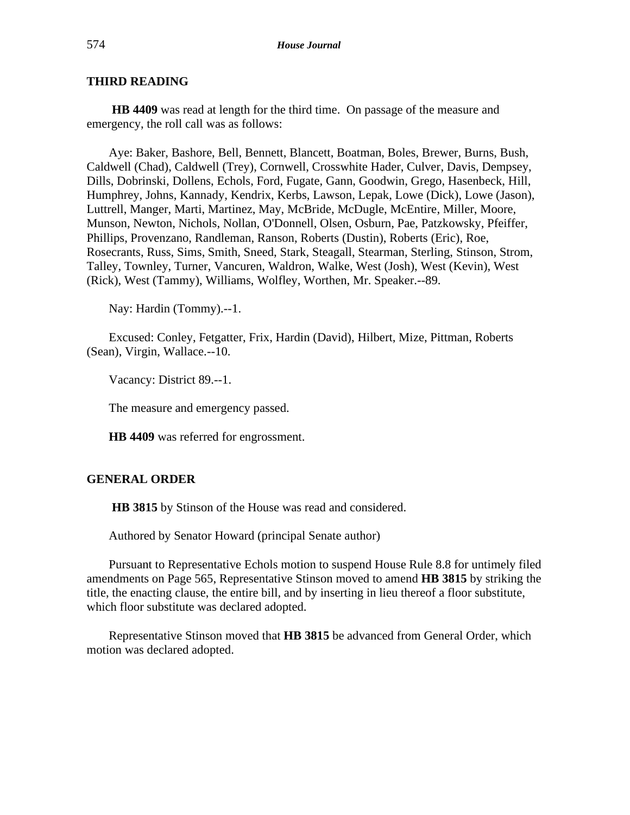**HB 4409** was read at length for the third time. On passage of the measure and emergency, the roll call was as follows:

Aye: Baker, Bashore, Bell, Bennett, Blancett, Boatman, Boles, Brewer, Burns, Bush, Caldwell (Chad), Caldwell (Trey), Cornwell, Crosswhite Hader, Culver, Davis, Dempsey, Dills, Dobrinski, Dollens, Echols, Ford, Fugate, Gann, Goodwin, Grego, Hasenbeck, Hill, Humphrey, Johns, Kannady, Kendrix, Kerbs, Lawson, Lepak, Lowe (Dick), Lowe (Jason), Luttrell, Manger, Marti, Martinez, May, McBride, McDugle, McEntire, Miller, Moore, Munson, Newton, Nichols, Nollan, O'Donnell, Olsen, Osburn, Pae, Patzkowsky, Pfeiffer, Phillips, Provenzano, Randleman, Ranson, Roberts (Dustin), Roberts (Eric), Roe, Rosecrants, Russ, Sims, Smith, Sneed, Stark, Steagall, Stearman, Sterling, Stinson, Strom, Talley, Townley, Turner, Vancuren, Waldron, Walke, West (Josh), West (Kevin), West (Rick), West (Tammy), Williams, Wolfley, Worthen, Mr. Speaker.--89.

Nay: Hardin (Tommy).--1.

Excused: Conley, Fetgatter, Frix, Hardin (David), Hilbert, Mize, Pittman, Roberts (Sean), Virgin, Wallace.--10.

Vacancy: District 89.--1.

The measure and emergency passed.

**HB 4409** was referred for engrossment.

## **GENERAL ORDER**

**HB 3815** by Stinson of the House was read and considered.

Authored by Senator Howard (principal Senate author)

Pursuant to Representative Echols motion to suspend House Rule 8.8 for untimely filed amendments on Page 565, Representative Stinson moved to amend **HB 3815** by striking the title, the enacting clause, the entire bill, and by inserting in lieu thereof a floor substitute, which floor substitute was declared adopted.

Representative Stinson moved that **HB 3815** be advanced from General Order, which motion was declared adopted.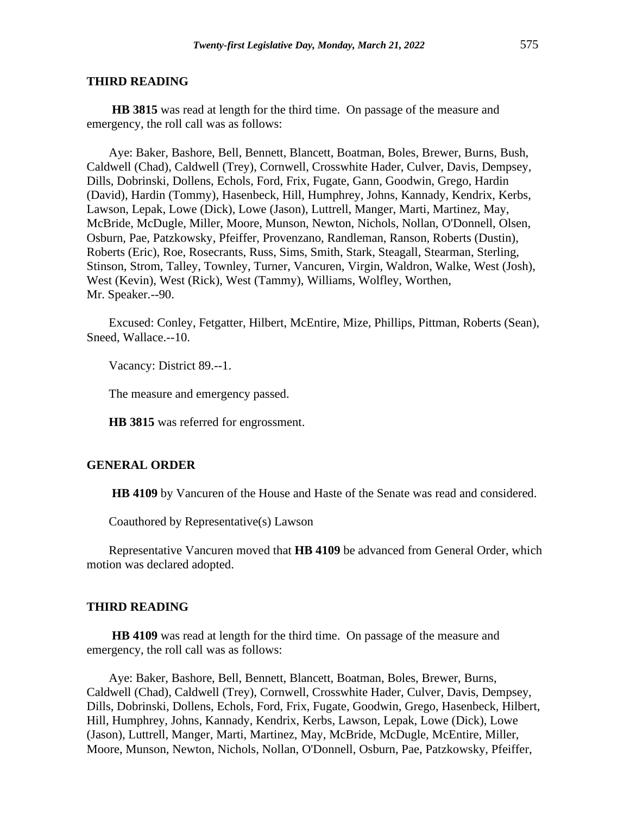**HB 3815** was read at length for the third time. On passage of the measure and emergency, the roll call was as follows:

Aye: Baker, Bashore, Bell, Bennett, Blancett, Boatman, Boles, Brewer, Burns, Bush, Caldwell (Chad), Caldwell (Trey), Cornwell, Crosswhite Hader, Culver, Davis, Dempsey, Dills, Dobrinski, Dollens, Echols, Ford, Frix, Fugate, Gann, Goodwin, Grego, Hardin (David), Hardin (Tommy), Hasenbeck, Hill, Humphrey, Johns, Kannady, Kendrix, Kerbs, Lawson, Lepak, Lowe (Dick), Lowe (Jason), Luttrell, Manger, Marti, Martinez, May, McBride, McDugle, Miller, Moore, Munson, Newton, Nichols, Nollan, O'Donnell, Olsen, Osburn, Pae, Patzkowsky, Pfeiffer, Provenzano, Randleman, Ranson, Roberts (Dustin), Roberts (Eric), Roe, Rosecrants, Russ, Sims, Smith, Stark, Steagall, Stearman, Sterling, Stinson, Strom, Talley, Townley, Turner, Vancuren, Virgin, Waldron, Walke, West (Josh), West (Kevin), West (Rick), West (Tammy), Williams, Wolfley, Worthen, Mr. Speaker.--90.

Excused: Conley, Fetgatter, Hilbert, McEntire, Mize, Phillips, Pittman, Roberts (Sean), Sneed, Wallace.--10.

Vacancy: District 89.--1.

The measure and emergency passed.

**HB 3815** was referred for engrossment.

#### **GENERAL ORDER**

**HB 4109** by Vancuren of the House and Haste of the Senate was read and considered.

Coauthored by Representative(s) Lawson

Representative Vancuren moved that **HB 4109** be advanced from General Order, which motion was declared adopted.

#### **THIRD READING**

**HB 4109** was read at length for the third time. On passage of the measure and emergency, the roll call was as follows:

Aye: Baker, Bashore, Bell, Bennett, Blancett, Boatman, Boles, Brewer, Burns, Caldwell (Chad), Caldwell (Trey), Cornwell, Crosswhite Hader, Culver, Davis, Dempsey, Dills, Dobrinski, Dollens, Echols, Ford, Frix, Fugate, Goodwin, Grego, Hasenbeck, Hilbert, Hill, Humphrey, Johns, Kannady, Kendrix, Kerbs, Lawson, Lepak, Lowe (Dick), Lowe (Jason), Luttrell, Manger, Marti, Martinez, May, McBride, McDugle, McEntire, Miller, Moore, Munson, Newton, Nichols, Nollan, O'Donnell, Osburn, Pae, Patzkowsky, Pfeiffer,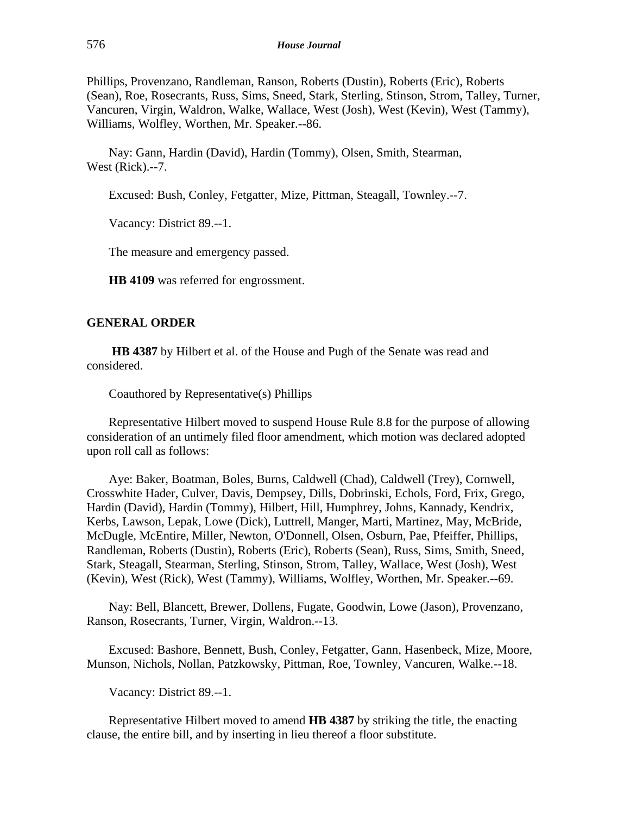Phillips, Provenzano, Randleman, Ranson, Roberts (Dustin), Roberts (Eric), Roberts (Sean), Roe, Rosecrants, Russ, Sims, Sneed, Stark, Sterling, Stinson, Strom, Talley, Turner, Vancuren, Virgin, Waldron, Walke, Wallace, West (Josh), West (Kevin), West (Tammy), Williams, Wolfley, Worthen, Mr. Speaker.--86.

Nay: Gann, Hardin (David), Hardin (Tommy), Olsen, Smith, Stearman, West (Rick).--7.

Excused: Bush, Conley, Fetgatter, Mize, Pittman, Steagall, Townley.--7.

Vacancy: District 89.--1.

The measure and emergency passed.

**HB 4109** was referred for engrossment.

## **GENERAL ORDER**

**HB 4387** by Hilbert et al. of the House and Pugh of the Senate was read and considered.

Coauthored by Representative(s) Phillips

Representative Hilbert moved to suspend House Rule 8.8 for the purpose of allowing consideration of an untimely filed floor amendment, which motion was declared adopted upon roll call as follows:

Aye: Baker, Boatman, Boles, Burns, Caldwell (Chad), Caldwell (Trey), Cornwell, Crosswhite Hader, Culver, Davis, Dempsey, Dills, Dobrinski, Echols, Ford, Frix, Grego, Hardin (David), Hardin (Tommy), Hilbert, Hill, Humphrey, Johns, Kannady, Kendrix, Kerbs, Lawson, Lepak, Lowe (Dick), Luttrell, Manger, Marti, Martinez, May, McBride, McDugle, McEntire, Miller, Newton, O'Donnell, Olsen, Osburn, Pae, Pfeiffer, Phillips, Randleman, Roberts (Dustin), Roberts (Eric), Roberts (Sean), Russ, Sims, Smith, Sneed, Stark, Steagall, Stearman, Sterling, Stinson, Strom, Talley, Wallace, West (Josh), West (Kevin), West (Rick), West (Tammy), Williams, Wolfley, Worthen, Mr. Speaker.--69.

Nay: Bell, Blancett, Brewer, Dollens, Fugate, Goodwin, Lowe (Jason), Provenzano, Ranson, Rosecrants, Turner, Virgin, Waldron.--13.

Excused: Bashore, Bennett, Bush, Conley, Fetgatter, Gann, Hasenbeck, Mize, Moore, Munson, Nichols, Nollan, Patzkowsky, Pittman, Roe, Townley, Vancuren, Walke.--18.

Vacancy: District 89.--1.

Representative Hilbert moved to amend **HB 4387** by striking the title, the enacting clause, the entire bill, and by inserting in lieu thereof a floor substitute.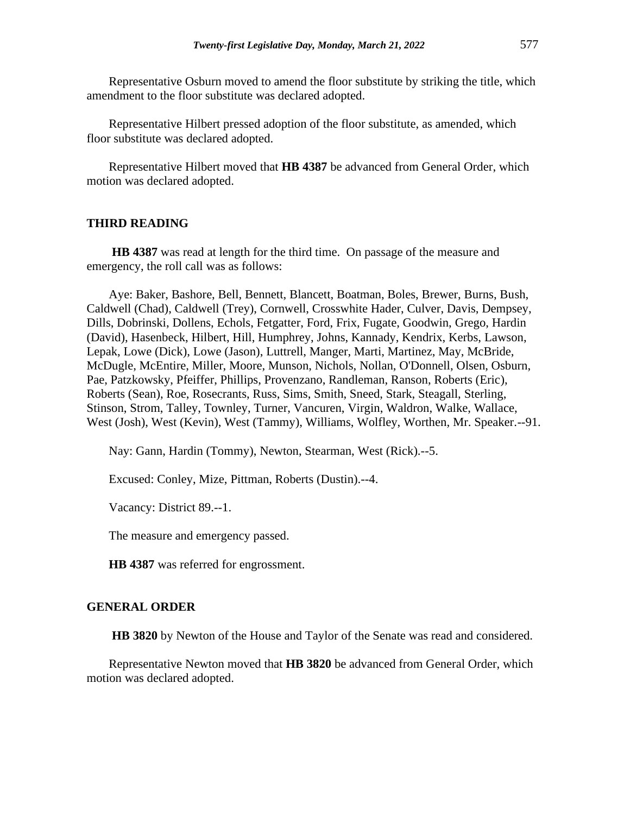Representative Osburn moved to amend the floor substitute by striking the title, which amendment to the floor substitute was declared adopted.

Representative Hilbert pressed adoption of the floor substitute, as amended, which floor substitute was declared adopted.

Representative Hilbert moved that **HB 4387** be advanced from General Order, which motion was declared adopted.

#### **THIRD READING**

**HB 4387** was read at length for the third time. On passage of the measure and emergency, the roll call was as follows:

Aye: Baker, Bashore, Bell, Bennett, Blancett, Boatman, Boles, Brewer, Burns, Bush, Caldwell (Chad), Caldwell (Trey), Cornwell, Crosswhite Hader, Culver, Davis, Dempsey, Dills, Dobrinski, Dollens, Echols, Fetgatter, Ford, Frix, Fugate, Goodwin, Grego, Hardin (David), Hasenbeck, Hilbert, Hill, Humphrey, Johns, Kannady, Kendrix, Kerbs, Lawson, Lepak, Lowe (Dick), Lowe (Jason), Luttrell, Manger, Marti, Martinez, May, McBride, McDugle, McEntire, Miller, Moore, Munson, Nichols, Nollan, O'Donnell, Olsen, Osburn, Pae, Patzkowsky, Pfeiffer, Phillips, Provenzano, Randleman, Ranson, Roberts (Eric), Roberts (Sean), Roe, Rosecrants, Russ, Sims, Smith, Sneed, Stark, Steagall, Sterling, Stinson, Strom, Talley, Townley, Turner, Vancuren, Virgin, Waldron, Walke, Wallace, West (Josh), West (Kevin), West (Tammy), Williams, Wolfley, Worthen, Mr. Speaker.--91.

Nay: Gann, Hardin (Tommy), Newton, Stearman, West (Rick).--5.

Excused: Conley, Mize, Pittman, Roberts (Dustin).--4.

Vacancy: District 89.--1.

The measure and emergency passed.

**HB 4387** was referred for engrossment.

#### **GENERAL ORDER**

**HB 3820** by Newton of the House and Taylor of the Senate was read and considered.

Representative Newton moved that **HB 3820** be advanced from General Order, which motion was declared adopted.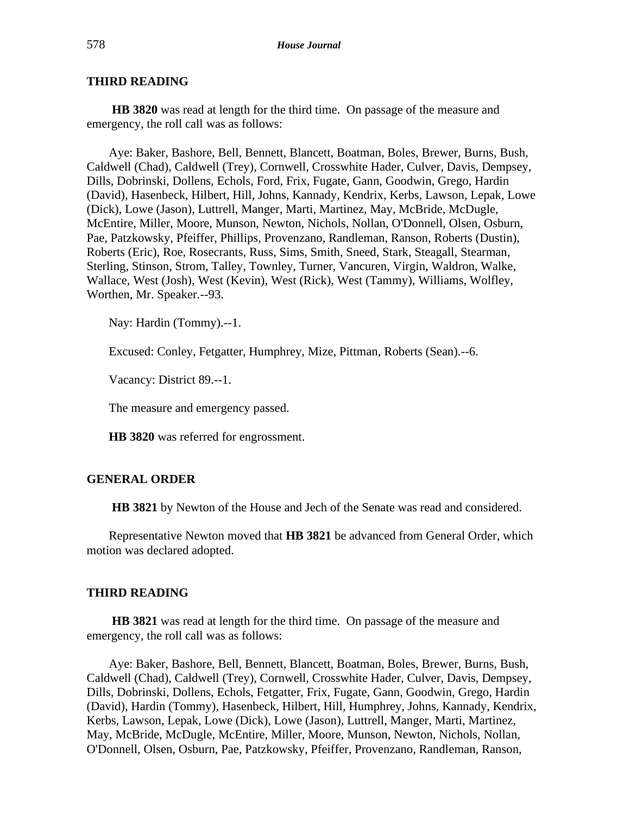**HB 3820** was read at length for the third time. On passage of the measure and emergency, the roll call was as follows:

Aye: Baker, Bashore, Bell, Bennett, Blancett, Boatman, Boles, Brewer, Burns, Bush, Caldwell (Chad), Caldwell (Trey), Cornwell, Crosswhite Hader, Culver, Davis, Dempsey, Dills, Dobrinski, Dollens, Echols, Ford, Frix, Fugate, Gann, Goodwin, Grego, Hardin (David), Hasenbeck, Hilbert, Hill, Johns, Kannady, Kendrix, Kerbs, Lawson, Lepak, Lowe (Dick), Lowe (Jason), Luttrell, Manger, Marti, Martinez, May, McBride, McDugle, McEntire, Miller, Moore, Munson, Newton, Nichols, Nollan, O'Donnell, Olsen, Osburn, Pae, Patzkowsky, Pfeiffer, Phillips, Provenzano, Randleman, Ranson, Roberts (Dustin), Roberts (Eric), Roe, Rosecrants, Russ, Sims, Smith, Sneed, Stark, Steagall, Stearman, Sterling, Stinson, Strom, Talley, Townley, Turner, Vancuren, Virgin, Waldron, Walke, Wallace, West (Josh), West (Kevin), West (Rick), West (Tammy), Williams, Wolfley, Worthen, Mr. Speaker.--93.

Nay: Hardin (Tommy).--1.

Excused: Conley, Fetgatter, Humphrey, Mize, Pittman, Roberts (Sean).--6.

Vacancy: District 89.--1.

The measure and emergency passed.

**HB 3820** was referred for engrossment.

## **GENERAL ORDER**

**HB 3821** by Newton of the House and Jech of the Senate was read and considered.

Representative Newton moved that **HB 3821** be advanced from General Order, which motion was declared adopted.

#### **THIRD READING**

**HB 3821** was read at length for the third time. On passage of the measure and emergency, the roll call was as follows:

Aye: Baker, Bashore, Bell, Bennett, Blancett, Boatman, Boles, Brewer, Burns, Bush, Caldwell (Chad), Caldwell (Trey), Cornwell, Crosswhite Hader, Culver, Davis, Dempsey, Dills, Dobrinski, Dollens, Echols, Fetgatter, Frix, Fugate, Gann, Goodwin, Grego, Hardin (David), Hardin (Tommy), Hasenbeck, Hilbert, Hill, Humphrey, Johns, Kannady, Kendrix, Kerbs, Lawson, Lepak, Lowe (Dick), Lowe (Jason), Luttrell, Manger, Marti, Martinez, May, McBride, McDugle, McEntire, Miller, Moore, Munson, Newton, Nichols, Nollan, O'Donnell, Olsen, Osburn, Pae, Patzkowsky, Pfeiffer, Provenzano, Randleman, Ranson,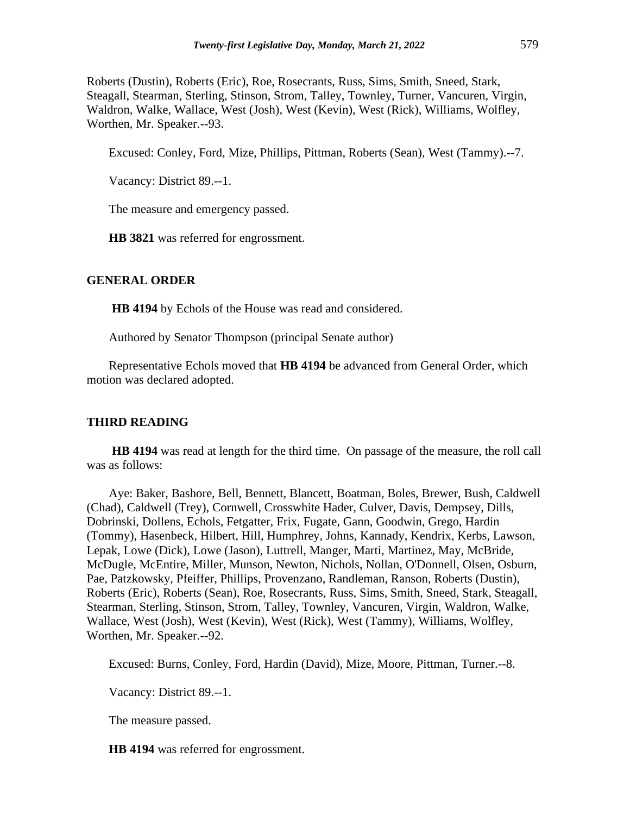Roberts (Dustin), Roberts (Eric), Roe, Rosecrants, Russ, Sims, Smith, Sneed, Stark, Steagall, Stearman, Sterling, Stinson, Strom, Talley, Townley, Turner, Vancuren, Virgin, Waldron, Walke, Wallace, West (Josh), West (Kevin), West (Rick), Williams, Wolfley, Worthen, Mr. Speaker.--93.

Excused: Conley, Ford, Mize, Phillips, Pittman, Roberts (Sean), West (Tammy).--7.

Vacancy: District 89.--1.

The measure and emergency passed.

**HB 3821** was referred for engrossment.

#### **GENERAL ORDER**

**HB 4194** by Echols of the House was read and considered.

Authored by Senator Thompson (principal Senate author)

Representative Echols moved that **HB 4194** be advanced from General Order, which motion was declared adopted.

#### **THIRD READING**

**HB 4194** was read at length for the third time. On passage of the measure, the roll call was as follows:

Aye: Baker, Bashore, Bell, Bennett, Blancett, Boatman, Boles, Brewer, Bush, Caldwell (Chad), Caldwell (Trey), Cornwell, Crosswhite Hader, Culver, Davis, Dempsey, Dills, Dobrinski, Dollens, Echols, Fetgatter, Frix, Fugate, Gann, Goodwin, Grego, Hardin (Tommy), Hasenbeck, Hilbert, Hill, Humphrey, Johns, Kannady, Kendrix, Kerbs, Lawson, Lepak, Lowe (Dick), Lowe (Jason), Luttrell, Manger, Marti, Martinez, May, McBride, McDugle, McEntire, Miller, Munson, Newton, Nichols, Nollan, O'Donnell, Olsen, Osburn, Pae, Patzkowsky, Pfeiffer, Phillips, Provenzano, Randleman, Ranson, Roberts (Dustin), Roberts (Eric), Roberts (Sean), Roe, Rosecrants, Russ, Sims, Smith, Sneed, Stark, Steagall, Stearman, Sterling, Stinson, Strom, Talley, Townley, Vancuren, Virgin, Waldron, Walke, Wallace, West (Josh), West (Kevin), West (Rick), West (Tammy), Williams, Wolfley, Worthen, Mr. Speaker.--92.

Excused: Burns, Conley, Ford, Hardin (David), Mize, Moore, Pittman, Turner.--8.

Vacancy: District 89.--1.

The measure passed.

**HB 4194** was referred for engrossment.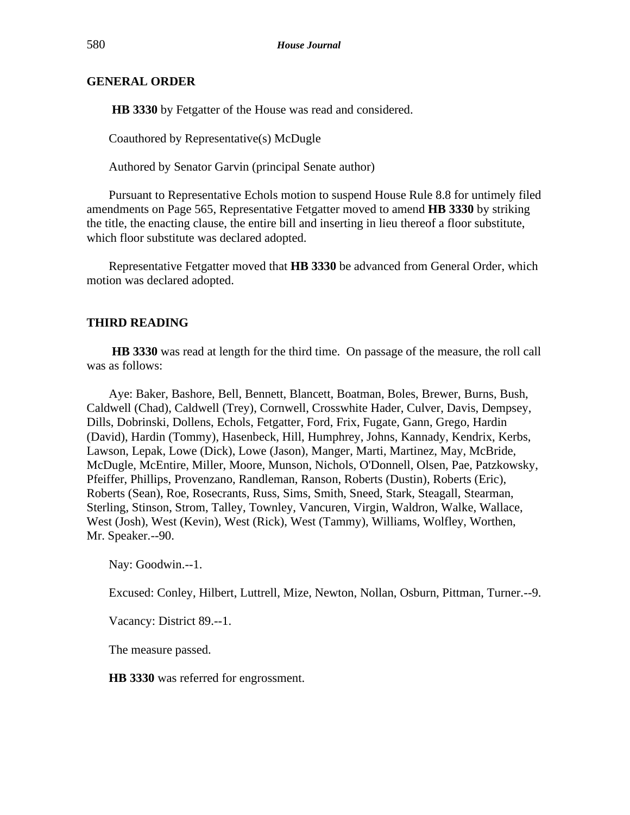## **GENERAL ORDER**

**HB 3330** by Fetgatter of the House was read and considered.

Coauthored by Representative(s) McDugle

Authored by Senator Garvin (principal Senate author)

Pursuant to Representative Echols motion to suspend House Rule 8.8 for untimely filed amendments on Page 565, Representative Fetgatter moved to amend **HB 3330** by striking the title, the enacting clause, the entire bill and inserting in lieu thereof a floor substitute, which floor substitute was declared adopted.

Representative Fetgatter moved that **HB 3330** be advanced from General Order, which motion was declared adopted.

# **THIRD READING**

**HB 3330** was read at length for the third time. On passage of the measure, the roll call was as follows:

Aye: Baker, Bashore, Bell, Bennett, Blancett, Boatman, Boles, Brewer, Burns, Bush, Caldwell (Chad), Caldwell (Trey), Cornwell, Crosswhite Hader, Culver, Davis, Dempsey, Dills, Dobrinski, Dollens, Echols, Fetgatter, Ford, Frix, Fugate, Gann, Grego, Hardin (David), Hardin (Tommy), Hasenbeck, Hill, Humphrey, Johns, Kannady, Kendrix, Kerbs, Lawson, Lepak, Lowe (Dick), Lowe (Jason), Manger, Marti, Martinez, May, McBride, McDugle, McEntire, Miller, Moore, Munson, Nichols, O'Donnell, Olsen, Pae, Patzkowsky, Pfeiffer, Phillips, Provenzano, Randleman, Ranson, Roberts (Dustin), Roberts (Eric), Roberts (Sean), Roe, Rosecrants, Russ, Sims, Smith, Sneed, Stark, Steagall, Stearman, Sterling, Stinson, Strom, Talley, Townley, Vancuren, Virgin, Waldron, Walke, Wallace, West (Josh), West (Kevin), West (Rick), West (Tammy), Williams, Wolfley, Worthen, Mr. Speaker.--90.

Nay: Goodwin.--1.

Excused: Conley, Hilbert, Luttrell, Mize, Newton, Nollan, Osburn, Pittman, Turner.--9.

Vacancy: District 89.--1.

The measure passed.

**HB 3330** was referred for engrossment.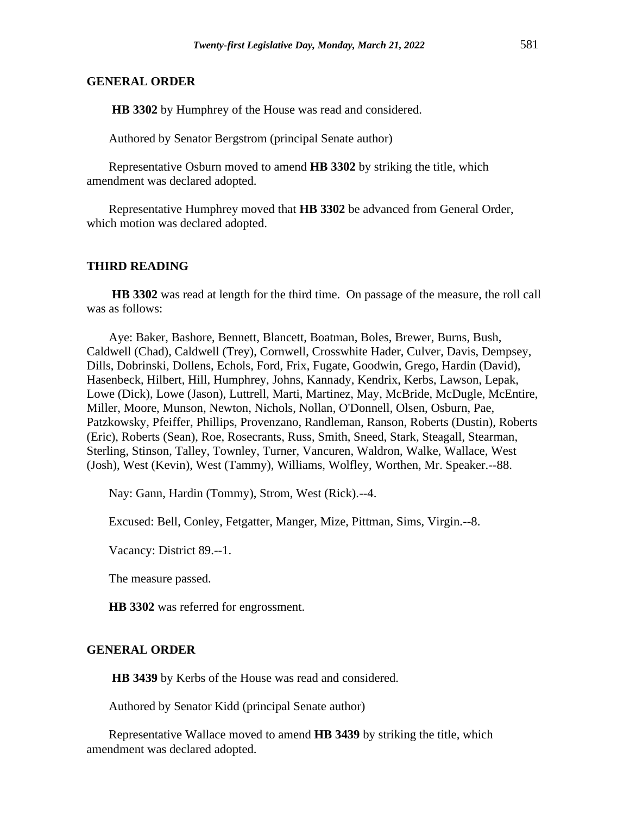#### **GENERAL ORDER**

**HB 3302** by Humphrey of the House was read and considered.

Authored by Senator Bergstrom (principal Senate author)

Representative Osburn moved to amend **HB 3302** by striking the title, which amendment was declared adopted.

Representative Humphrey moved that **HB 3302** be advanced from General Order, which motion was declared adopted.

#### **THIRD READING**

**HB 3302** was read at length for the third time. On passage of the measure, the roll call was as follows:

Aye: Baker, Bashore, Bennett, Blancett, Boatman, Boles, Brewer, Burns, Bush, Caldwell (Chad), Caldwell (Trey), Cornwell, Crosswhite Hader, Culver, Davis, Dempsey, Dills, Dobrinski, Dollens, Echols, Ford, Frix, Fugate, Goodwin, Grego, Hardin (David), Hasenbeck, Hilbert, Hill, Humphrey, Johns, Kannady, Kendrix, Kerbs, Lawson, Lepak, Lowe (Dick), Lowe (Jason), Luttrell, Marti, Martinez, May, McBride, McDugle, McEntire, Miller, Moore, Munson, Newton, Nichols, Nollan, O'Donnell, Olsen, Osburn, Pae, Patzkowsky, Pfeiffer, Phillips, Provenzano, Randleman, Ranson, Roberts (Dustin), Roberts (Eric), Roberts (Sean), Roe, Rosecrants, Russ, Smith, Sneed, Stark, Steagall, Stearman, Sterling, Stinson, Talley, Townley, Turner, Vancuren, Waldron, Walke, Wallace, West (Josh), West (Kevin), West (Tammy), Williams, Wolfley, Worthen, Mr. Speaker.--88.

Nay: Gann, Hardin (Tommy), Strom, West (Rick).--4.

Excused: Bell, Conley, Fetgatter, Manger, Mize, Pittman, Sims, Virgin.--8.

Vacancy: District 89.--1.

The measure passed.

**HB 3302** was referred for engrossment.

#### **GENERAL ORDER**

**HB 3439** by Kerbs of the House was read and considered.

Authored by Senator Kidd (principal Senate author)

Representative Wallace moved to amend **HB 3439** by striking the title, which amendment was declared adopted.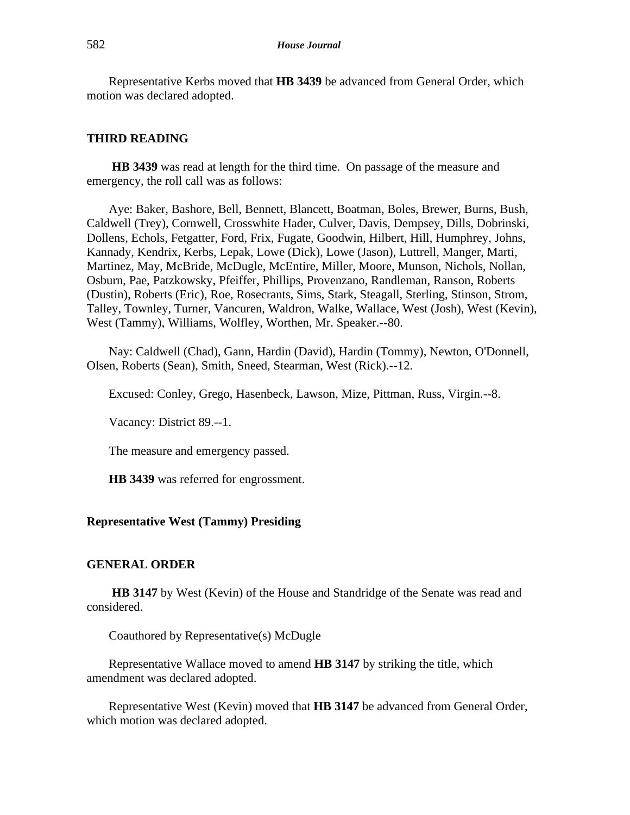Representative Kerbs moved that **HB 3439** be advanced from General Order, which motion was declared adopted.

#### **THIRD READING**

**HB 3439** was read at length for the third time. On passage of the measure and emergency, the roll call was as follows:

Aye: Baker, Bashore, Bell, Bennett, Blancett, Boatman, Boles, Brewer, Burns, Bush, Caldwell (Trey), Cornwell, Crosswhite Hader, Culver, Davis, Dempsey, Dills, Dobrinski, Dollens, Echols, Fetgatter, Ford, Frix, Fugate, Goodwin, Hilbert, Hill, Humphrey, Johns, Kannady, Kendrix, Kerbs, Lepak, Lowe (Dick), Lowe (Jason), Luttrell, Manger, Marti, Martinez, May, McBride, McDugle, McEntire, Miller, Moore, Munson, Nichols, Nollan, Osburn, Pae, Patzkowsky, Pfeiffer, Phillips, Provenzano, Randleman, Ranson, Roberts (Dustin), Roberts (Eric), Roe, Rosecrants, Sims, Stark, Steagall, Sterling, Stinson, Strom, Talley, Townley, Turner, Vancuren, Waldron, Walke, Wallace, West (Josh), West (Kevin), West (Tammy), Williams, Wolfley, Worthen, Mr. Speaker.--80.

Nay: Caldwell (Chad), Gann, Hardin (David), Hardin (Tommy), Newton, O'Donnell, Olsen, Roberts (Sean), Smith, Sneed, Stearman, West (Rick).--12.

Excused: Conley, Grego, Hasenbeck, Lawson, Mize, Pittman, Russ, Virgin.--8.

Vacancy: District 89.--1.

The measure and emergency passed.

**HB 3439** was referred for engrossment.

## **Representative West (Tammy) Presiding**

#### **GENERAL ORDER**

**HB 3147** by West (Kevin) of the House and Standridge of the Senate was read and considered.

Coauthored by Representative(s) McDugle

Representative Wallace moved to amend **HB 3147** by striking the title, which amendment was declared adopted.

Representative West (Kevin) moved that **HB 3147** be advanced from General Order, which motion was declared adopted.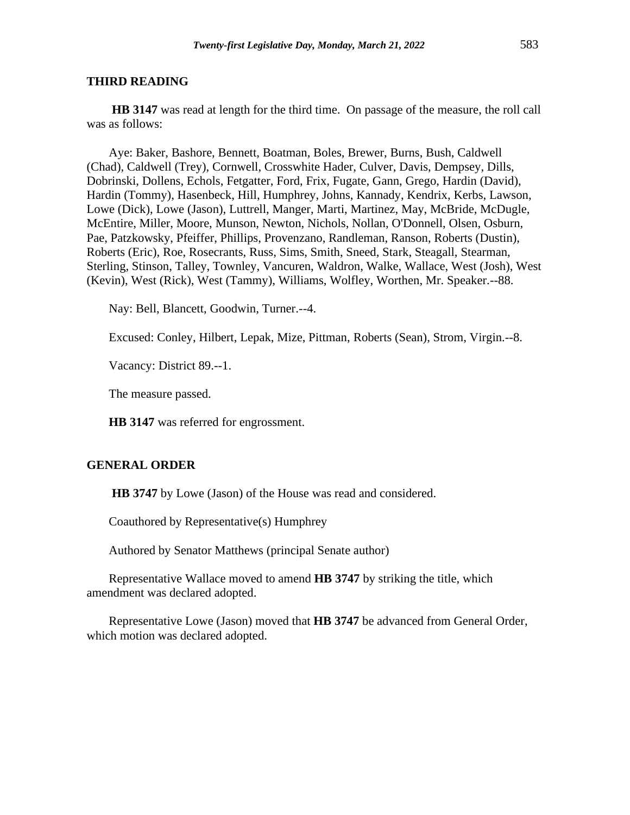**HB 3147** was read at length for the third time. On passage of the measure, the roll call was as follows:

Aye: Baker, Bashore, Bennett, Boatman, Boles, Brewer, Burns, Bush, Caldwell (Chad), Caldwell (Trey), Cornwell, Crosswhite Hader, Culver, Davis, Dempsey, Dills, Dobrinski, Dollens, Echols, Fetgatter, Ford, Frix, Fugate, Gann, Grego, Hardin (David), Hardin (Tommy), Hasenbeck, Hill, Humphrey, Johns, Kannady, Kendrix, Kerbs, Lawson, Lowe (Dick), Lowe (Jason), Luttrell, Manger, Marti, Martinez, May, McBride, McDugle, McEntire, Miller, Moore, Munson, Newton, Nichols, Nollan, O'Donnell, Olsen, Osburn, Pae, Patzkowsky, Pfeiffer, Phillips, Provenzano, Randleman, Ranson, Roberts (Dustin), Roberts (Eric), Roe, Rosecrants, Russ, Sims, Smith, Sneed, Stark, Steagall, Stearman, Sterling, Stinson, Talley, Townley, Vancuren, Waldron, Walke, Wallace, West (Josh), West (Kevin), West (Rick), West (Tammy), Williams, Wolfley, Worthen, Mr. Speaker.--88.

Nay: Bell, Blancett, Goodwin, Turner.--4.

Excused: Conley, Hilbert, Lepak, Mize, Pittman, Roberts (Sean), Strom, Virgin.--8.

Vacancy: District 89.--1.

The measure passed.

**HB 3147** was referred for engrossment.

## **GENERAL ORDER**

**HB 3747** by Lowe (Jason) of the House was read and considered.

Coauthored by Representative(s) Humphrey

Authored by Senator Matthews (principal Senate author)

Representative Wallace moved to amend **HB 3747** by striking the title, which amendment was declared adopted.

Representative Lowe (Jason) moved that **HB 3747** be advanced from General Order, which motion was declared adopted.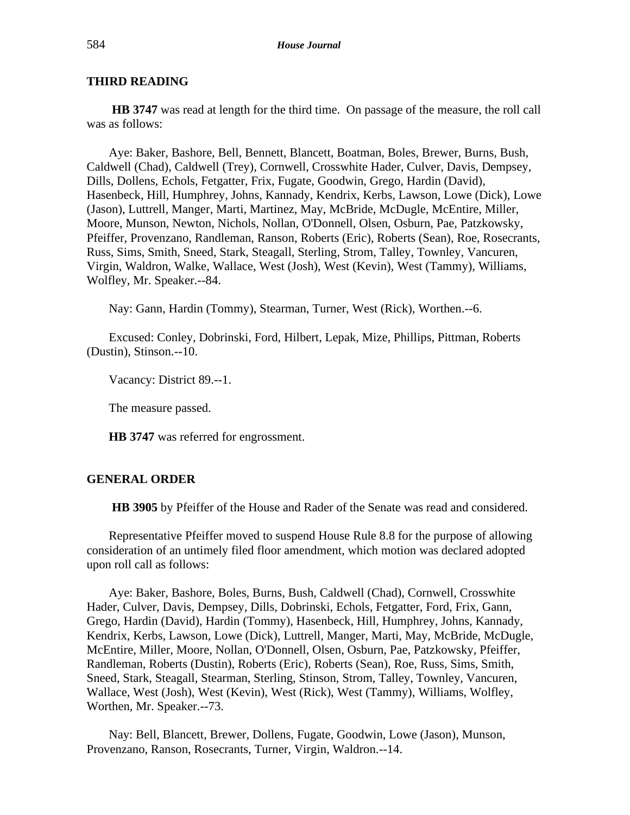**HB 3747** was read at length for the third time. On passage of the measure, the roll call was as follows:

Aye: Baker, Bashore, Bell, Bennett, Blancett, Boatman, Boles, Brewer, Burns, Bush, Caldwell (Chad), Caldwell (Trey), Cornwell, Crosswhite Hader, Culver, Davis, Dempsey, Dills, Dollens, Echols, Fetgatter, Frix, Fugate, Goodwin, Grego, Hardin (David), Hasenbeck, Hill, Humphrey, Johns, Kannady, Kendrix, Kerbs, Lawson, Lowe (Dick), Lowe (Jason), Luttrell, Manger, Marti, Martinez, May, McBride, McDugle, McEntire, Miller, Moore, Munson, Newton, Nichols, Nollan, O'Donnell, Olsen, Osburn, Pae, Patzkowsky, Pfeiffer, Provenzano, Randleman, Ranson, Roberts (Eric), Roberts (Sean), Roe, Rosecrants, Russ, Sims, Smith, Sneed, Stark, Steagall, Sterling, Strom, Talley, Townley, Vancuren, Virgin, Waldron, Walke, Wallace, West (Josh), West (Kevin), West (Tammy), Williams, Wolfley, Mr. Speaker.--84.

Nay: Gann, Hardin (Tommy), Stearman, Turner, West (Rick), Worthen.--6.

Excused: Conley, Dobrinski, Ford, Hilbert, Lepak, Mize, Phillips, Pittman, Roberts (Dustin), Stinson.--10.

Vacancy: District 89.--1.

The measure passed.

**HB 3747** was referred for engrossment.

# **GENERAL ORDER**

**HB 3905** by Pfeiffer of the House and Rader of the Senate was read and considered.

Representative Pfeiffer moved to suspend House Rule 8.8 for the purpose of allowing consideration of an untimely filed floor amendment, which motion was declared adopted upon roll call as follows:

Aye: Baker, Bashore, Boles, Burns, Bush, Caldwell (Chad), Cornwell, Crosswhite Hader, Culver, Davis, Dempsey, Dills, Dobrinski, Echols, Fetgatter, Ford, Frix, Gann, Grego, Hardin (David), Hardin (Tommy), Hasenbeck, Hill, Humphrey, Johns, Kannady, Kendrix, Kerbs, Lawson, Lowe (Dick), Luttrell, Manger, Marti, May, McBride, McDugle, McEntire, Miller, Moore, Nollan, O'Donnell, Olsen, Osburn, Pae, Patzkowsky, Pfeiffer, Randleman, Roberts (Dustin), Roberts (Eric), Roberts (Sean), Roe, Russ, Sims, Smith, Sneed, Stark, Steagall, Stearman, Sterling, Stinson, Strom, Talley, Townley, Vancuren, Wallace, West (Josh), West (Kevin), West (Rick), West (Tammy), Williams, Wolfley, Worthen, Mr. Speaker.--73.

Nay: Bell, Blancett, Brewer, Dollens, Fugate, Goodwin, Lowe (Jason), Munson, Provenzano, Ranson, Rosecrants, Turner, Virgin, Waldron.--14.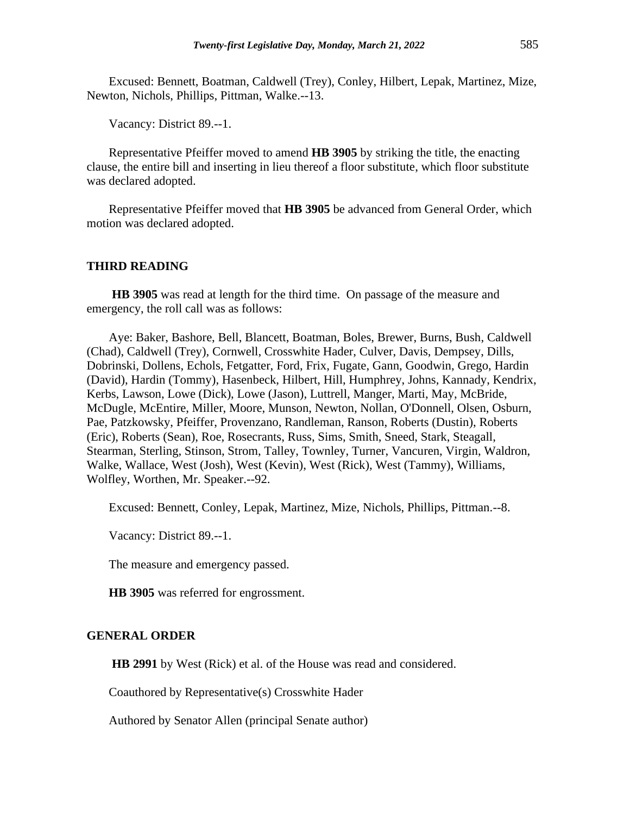Excused: Bennett, Boatman, Caldwell (Trey), Conley, Hilbert, Lepak, Martinez, Mize, Newton, Nichols, Phillips, Pittman, Walke.--13.

Vacancy: District 89.--1.

Representative Pfeiffer moved to amend **HB 3905** by striking the title, the enacting clause, the entire bill and inserting in lieu thereof a floor substitute, which floor substitute was declared adopted.

Representative Pfeiffer moved that **HB 3905** be advanced from General Order, which motion was declared adopted.

#### **THIRD READING**

**HB 3905** was read at length for the third time. On passage of the measure and emergency, the roll call was as follows:

Aye: Baker, Bashore, Bell, Blancett, Boatman, Boles, Brewer, Burns, Bush, Caldwell (Chad), Caldwell (Trey), Cornwell, Crosswhite Hader, Culver, Davis, Dempsey, Dills, Dobrinski, Dollens, Echols, Fetgatter, Ford, Frix, Fugate, Gann, Goodwin, Grego, Hardin (David), Hardin (Tommy), Hasenbeck, Hilbert, Hill, Humphrey, Johns, Kannady, Kendrix, Kerbs, Lawson, Lowe (Dick), Lowe (Jason), Luttrell, Manger, Marti, May, McBride, McDugle, McEntire, Miller, Moore, Munson, Newton, Nollan, O'Donnell, Olsen, Osburn, Pae, Patzkowsky, Pfeiffer, Provenzano, Randleman, Ranson, Roberts (Dustin), Roberts (Eric), Roberts (Sean), Roe, Rosecrants, Russ, Sims, Smith, Sneed, Stark, Steagall, Stearman, Sterling, Stinson, Strom, Talley, Townley, Turner, Vancuren, Virgin, Waldron, Walke, Wallace, West (Josh), West (Kevin), West (Rick), West (Tammy), Williams, Wolfley, Worthen, Mr. Speaker.--92.

Excused: Bennett, Conley, Lepak, Martinez, Mize, Nichols, Phillips, Pittman.--8.

Vacancy: District 89.--1.

The measure and emergency passed.

**HB 3905** was referred for engrossment.

## **GENERAL ORDER**

**HB 2991** by West (Rick) et al. of the House was read and considered.

Coauthored by Representative(s) Crosswhite Hader

Authored by Senator Allen (principal Senate author)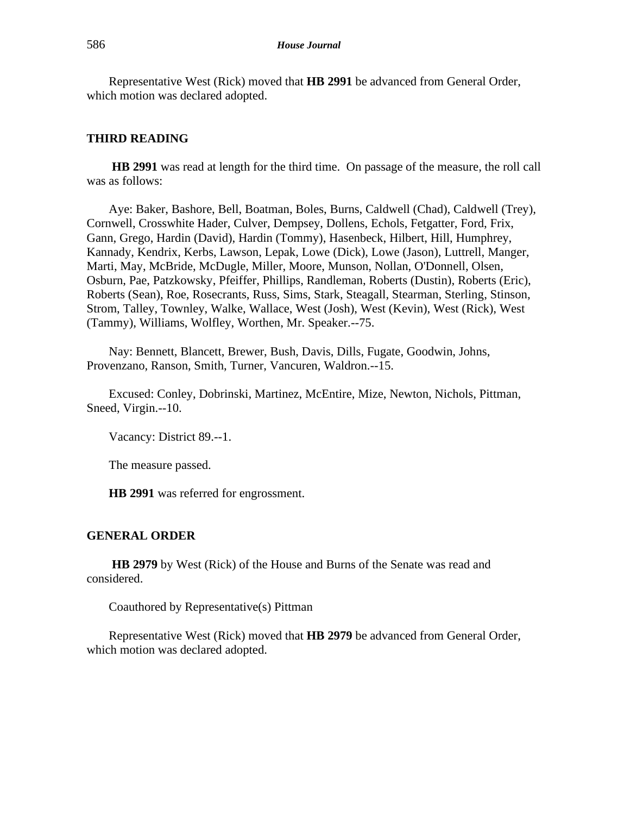Representative West (Rick) moved that **HB 2991** be advanced from General Order, which motion was declared adopted.

## **THIRD READING**

**HB 2991** was read at length for the third time. On passage of the measure, the roll call was as follows:

Aye: Baker, Bashore, Bell, Boatman, Boles, Burns, Caldwell (Chad), Caldwell (Trey), Cornwell, Crosswhite Hader, Culver, Dempsey, Dollens, Echols, Fetgatter, Ford, Frix, Gann, Grego, Hardin (David), Hardin (Tommy), Hasenbeck, Hilbert, Hill, Humphrey, Kannady, Kendrix, Kerbs, Lawson, Lepak, Lowe (Dick), Lowe (Jason), Luttrell, Manger, Marti, May, McBride, McDugle, Miller, Moore, Munson, Nollan, O'Donnell, Olsen, Osburn, Pae, Patzkowsky, Pfeiffer, Phillips, Randleman, Roberts (Dustin), Roberts (Eric), Roberts (Sean), Roe, Rosecrants, Russ, Sims, Stark, Steagall, Stearman, Sterling, Stinson, Strom, Talley, Townley, Walke, Wallace, West (Josh), West (Kevin), West (Rick), West (Tammy), Williams, Wolfley, Worthen, Mr. Speaker.--75.

Nay: Bennett, Blancett, Brewer, Bush, Davis, Dills, Fugate, Goodwin, Johns, Provenzano, Ranson, Smith, Turner, Vancuren, Waldron.--15.

Excused: Conley, Dobrinski, Martinez, McEntire, Mize, Newton, Nichols, Pittman, Sneed, Virgin.--10.

Vacancy: District 89.--1.

The measure passed.

**HB 2991** was referred for engrossment.

#### **GENERAL ORDER**

**HB 2979** by West (Rick) of the House and Burns of the Senate was read and considered.

Coauthored by Representative(s) Pittman

Representative West (Rick) moved that **HB 2979** be advanced from General Order, which motion was declared adopted.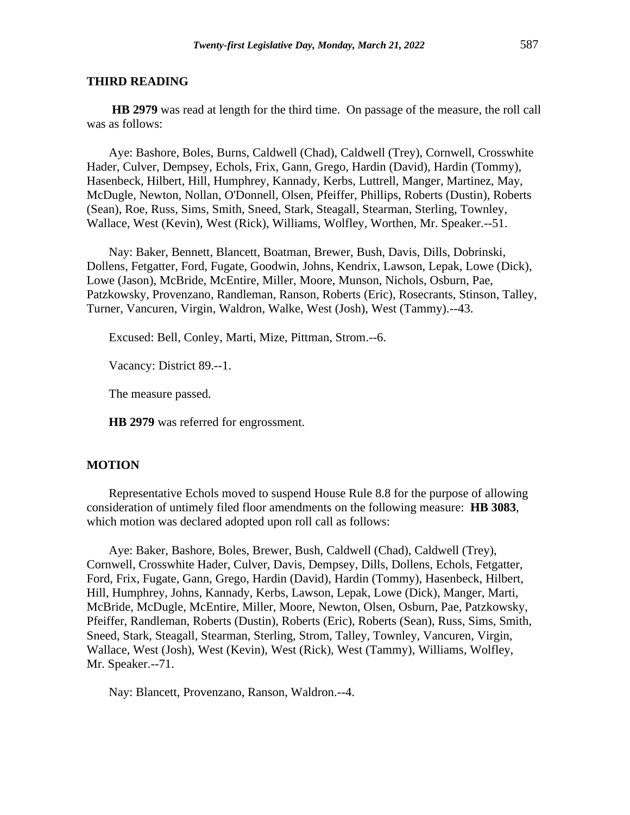**HB 2979** was read at length for the third time. On passage of the measure, the roll call was as follows:

Aye: Bashore, Boles, Burns, Caldwell (Chad), Caldwell (Trey), Cornwell, Crosswhite Hader, Culver, Dempsey, Echols, Frix, Gann, Grego, Hardin (David), Hardin (Tommy), Hasenbeck, Hilbert, Hill, Humphrey, Kannady, Kerbs, Luttrell, Manger, Martinez, May, McDugle, Newton, Nollan, O'Donnell, Olsen, Pfeiffer, Phillips, Roberts (Dustin), Roberts (Sean), Roe, Russ, Sims, Smith, Sneed, Stark, Steagall, Stearman, Sterling, Townley, Wallace, West (Kevin), West (Rick), Williams, Wolfley, Worthen, Mr. Speaker.--51.

Nay: Baker, Bennett, Blancett, Boatman, Brewer, Bush, Davis, Dills, Dobrinski, Dollens, Fetgatter, Ford, Fugate, Goodwin, Johns, Kendrix, Lawson, Lepak, Lowe (Dick), Lowe (Jason), McBride, McEntire, Miller, Moore, Munson, Nichols, Osburn, Pae, Patzkowsky, Provenzano, Randleman, Ranson, Roberts (Eric), Rosecrants, Stinson, Talley, Turner, Vancuren, Virgin, Waldron, Walke, West (Josh), West (Tammy).--43.

Excused: Bell, Conley, Marti, Mize, Pittman, Strom.--6.

Vacancy: District 89.--1.

The measure passed.

**HB 2979** was referred for engrossment.

#### **MOTION**

Representative Echols moved to suspend House Rule 8.8 for the purpose of allowing consideration of untimely filed floor amendments on the following measure: **HB 3083**, which motion was declared adopted upon roll call as follows:

Aye: Baker, Bashore, Boles, Brewer, Bush, Caldwell (Chad), Caldwell (Trey), Cornwell, Crosswhite Hader, Culver, Davis, Dempsey, Dills, Dollens, Echols, Fetgatter, Ford, Frix, Fugate, Gann, Grego, Hardin (David), Hardin (Tommy), Hasenbeck, Hilbert, Hill, Humphrey, Johns, Kannady, Kerbs, Lawson, Lepak, Lowe (Dick), Manger, Marti, McBride, McDugle, McEntire, Miller, Moore, Newton, Olsen, Osburn, Pae, Patzkowsky, Pfeiffer, Randleman, Roberts (Dustin), Roberts (Eric), Roberts (Sean), Russ, Sims, Smith, Sneed, Stark, Steagall, Stearman, Sterling, Strom, Talley, Townley, Vancuren, Virgin, Wallace, West (Josh), West (Kevin), West (Rick), West (Tammy), Williams, Wolfley, Mr. Speaker.--71.

Nay: Blancett, Provenzano, Ranson, Waldron.--4.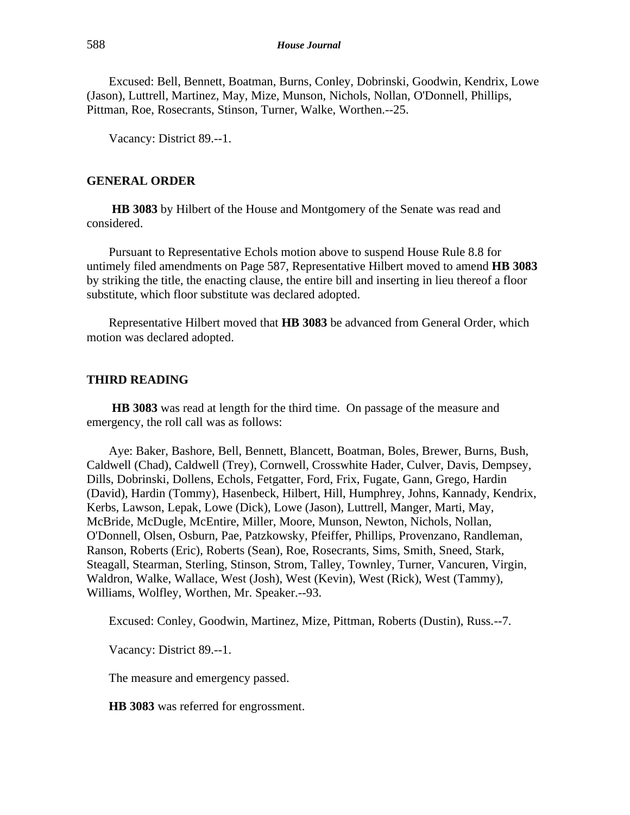Excused: Bell, Bennett, Boatman, Burns, Conley, Dobrinski, Goodwin, Kendrix, Lowe (Jason), Luttrell, Martinez, May, Mize, Munson, Nichols, Nollan, O'Donnell, Phillips, Pittman, Roe, Rosecrants, Stinson, Turner, Walke, Worthen.--25.

Vacancy: District 89.--1.

## **GENERAL ORDER**

**HB 3083** by Hilbert of the House and Montgomery of the Senate was read and considered.

Pursuant to Representative Echols motion above to suspend House Rule 8.8 for untimely filed amendments on Page 587, Representative Hilbert moved to amend **HB 3083** by striking the title, the enacting clause, the entire bill and inserting in lieu thereof a floor substitute, which floor substitute was declared adopted.

Representative Hilbert moved that **HB 3083** be advanced from General Order, which motion was declared adopted.

## **THIRD READING**

**HB 3083** was read at length for the third time. On passage of the measure and emergency, the roll call was as follows:

Aye: Baker, Bashore, Bell, Bennett, Blancett, Boatman, Boles, Brewer, Burns, Bush, Caldwell (Chad), Caldwell (Trey), Cornwell, Crosswhite Hader, Culver, Davis, Dempsey, Dills, Dobrinski, Dollens, Echols, Fetgatter, Ford, Frix, Fugate, Gann, Grego, Hardin (David), Hardin (Tommy), Hasenbeck, Hilbert, Hill, Humphrey, Johns, Kannady, Kendrix, Kerbs, Lawson, Lepak, Lowe (Dick), Lowe (Jason), Luttrell, Manger, Marti, May, McBride, McDugle, McEntire, Miller, Moore, Munson, Newton, Nichols, Nollan, O'Donnell, Olsen, Osburn, Pae, Patzkowsky, Pfeiffer, Phillips, Provenzano, Randleman, Ranson, Roberts (Eric), Roberts (Sean), Roe, Rosecrants, Sims, Smith, Sneed, Stark, Steagall, Stearman, Sterling, Stinson, Strom, Talley, Townley, Turner, Vancuren, Virgin, Waldron, Walke, Wallace, West (Josh), West (Kevin), West (Rick), West (Tammy), Williams, Wolfley, Worthen, Mr. Speaker.--93.

Excused: Conley, Goodwin, Martinez, Mize, Pittman, Roberts (Dustin), Russ.--7.

Vacancy: District 89.--1.

The measure and emergency passed.

**HB 3083** was referred for engrossment.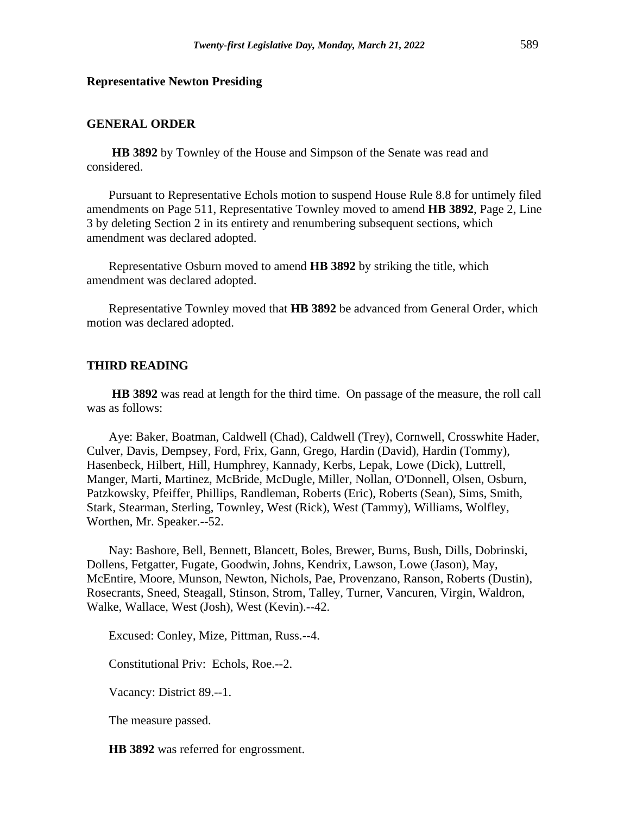#### **Representative Newton Presiding**

## **GENERAL ORDER**

**HB 3892** by Townley of the House and Simpson of the Senate was read and considered.

Pursuant to Representative Echols motion to suspend House Rule 8.8 for untimely filed amendments on Page 511, Representative Townley moved to amend **HB 3892**, Page 2, Line 3 by deleting Section 2 in its entirety and renumbering subsequent sections, which amendment was declared adopted.

Representative Osburn moved to amend **HB 3892** by striking the title, which amendment was declared adopted.

Representative Townley moved that **HB 3892** be advanced from General Order, which motion was declared adopted.

#### **THIRD READING**

**HB 3892** was read at length for the third time. On passage of the measure, the roll call was as follows:

Aye: Baker, Boatman, Caldwell (Chad), Caldwell (Trey), Cornwell, Crosswhite Hader, Culver, Davis, Dempsey, Ford, Frix, Gann, Grego, Hardin (David), Hardin (Tommy), Hasenbeck, Hilbert, Hill, Humphrey, Kannady, Kerbs, Lepak, Lowe (Dick), Luttrell, Manger, Marti, Martinez, McBride, McDugle, Miller, Nollan, O'Donnell, Olsen, Osburn, Patzkowsky, Pfeiffer, Phillips, Randleman, Roberts (Eric), Roberts (Sean), Sims, Smith, Stark, Stearman, Sterling, Townley, West (Rick), West (Tammy), Williams, Wolfley, Worthen, Mr. Speaker.--52.

Nay: Bashore, Bell, Bennett, Blancett, Boles, Brewer, Burns, Bush, Dills, Dobrinski, Dollens, Fetgatter, Fugate, Goodwin, Johns, Kendrix, Lawson, Lowe (Jason), May, McEntire, Moore, Munson, Newton, Nichols, Pae, Provenzano, Ranson, Roberts (Dustin), Rosecrants, Sneed, Steagall, Stinson, Strom, Talley, Turner, Vancuren, Virgin, Waldron, Walke, Wallace, West (Josh), West (Kevin).--42.

Excused: Conley, Mize, Pittman, Russ.--4.

Constitutional Priv: Echols, Roe.--2.

Vacancy: District 89.--1.

The measure passed.

**HB 3892** was referred for engrossment.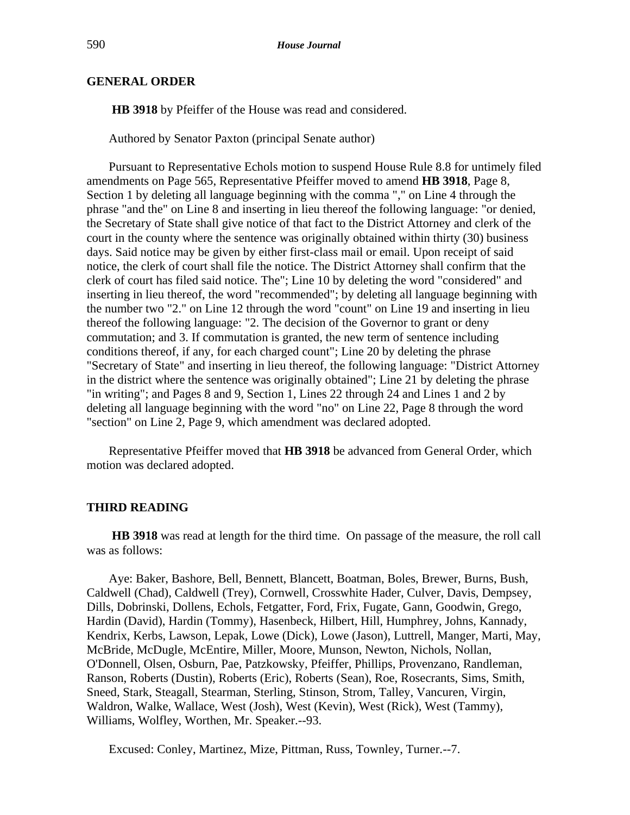## **GENERAL ORDER**

**HB 3918** by Pfeiffer of the House was read and considered.

Authored by Senator Paxton (principal Senate author)

Pursuant to Representative Echols motion to suspend House Rule 8.8 for untimely filed amendments on Page 565, Representative Pfeiffer moved to amend **HB 3918**, Page 8, Section 1 by deleting all language beginning with the comma "," on Line 4 through the phrase "and the" on Line 8 and inserting in lieu thereof the following language: "or denied, the Secretary of State shall give notice of that fact to the District Attorney and clerk of the court in the county where the sentence was originally obtained within thirty (30) business days. Said notice may be given by either first-class mail or email. Upon receipt of said notice, the clerk of court shall file the notice. The District Attorney shall confirm that the clerk of court has filed said notice. The"; Line 10 by deleting the word "considered" and inserting in lieu thereof, the word "recommended"; by deleting all language beginning with the number two "2." on Line 12 through the word "count" on Line 19 and inserting in lieu thereof the following language: "2. The decision of the Governor to grant or deny commutation; and 3. If commutation is granted, the new term of sentence including conditions thereof, if any, for each charged count"; Line 20 by deleting the phrase "Secretary of State" and inserting in lieu thereof, the following language: "District Attorney in the district where the sentence was originally obtained"; Line 21 by deleting the phrase "in writing"; and Pages 8 and 9, Section 1, Lines 22 through 24 and Lines 1 and 2 by deleting all language beginning with the word "no" on Line 22, Page 8 through the word "section" on Line 2, Page 9, which amendment was declared adopted.

Representative Pfeiffer moved that **HB 3918** be advanced from General Order, which motion was declared adopted.

#### **THIRD READING**

**HB 3918** was read at length for the third time. On passage of the measure, the roll call was as follows:

Aye: Baker, Bashore, Bell, Bennett, Blancett, Boatman, Boles, Brewer, Burns, Bush, Caldwell (Chad), Caldwell (Trey), Cornwell, Crosswhite Hader, Culver, Davis, Dempsey, Dills, Dobrinski, Dollens, Echols, Fetgatter, Ford, Frix, Fugate, Gann, Goodwin, Grego, Hardin (David), Hardin (Tommy), Hasenbeck, Hilbert, Hill, Humphrey, Johns, Kannady, Kendrix, Kerbs, Lawson, Lepak, Lowe (Dick), Lowe (Jason), Luttrell, Manger, Marti, May, McBride, McDugle, McEntire, Miller, Moore, Munson, Newton, Nichols, Nollan, O'Donnell, Olsen, Osburn, Pae, Patzkowsky, Pfeiffer, Phillips, Provenzano, Randleman, Ranson, Roberts (Dustin), Roberts (Eric), Roberts (Sean), Roe, Rosecrants, Sims, Smith, Sneed, Stark, Steagall, Stearman, Sterling, Stinson, Strom, Talley, Vancuren, Virgin, Waldron, Walke, Wallace, West (Josh), West (Kevin), West (Rick), West (Tammy), Williams, Wolfley, Worthen, Mr. Speaker.--93.

Excused: Conley, Martinez, Mize, Pittman, Russ, Townley, Turner.--7.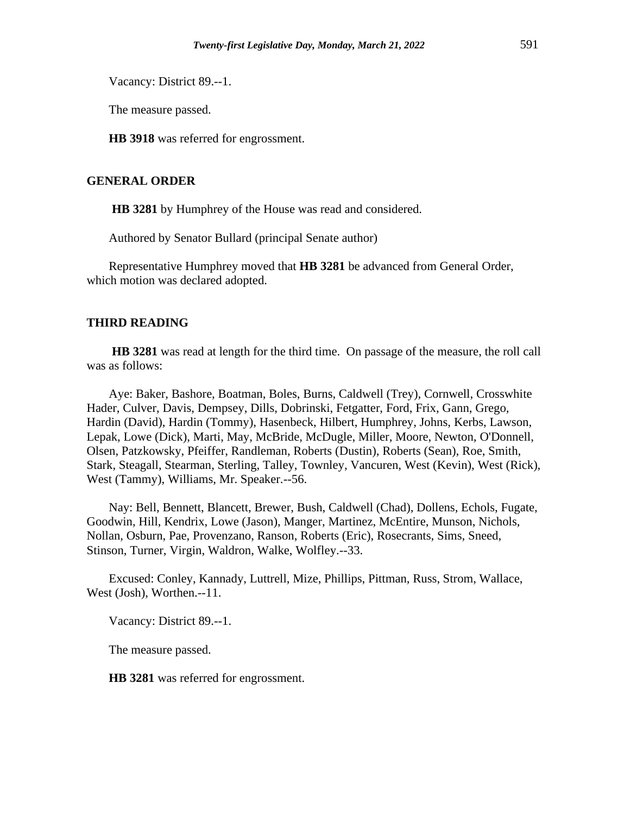Vacancy: District 89.--1.

The measure passed.

**HB 3918** was referred for engrossment.

## **GENERAL ORDER**

**HB 3281** by Humphrey of the House was read and considered.

Authored by Senator Bullard (principal Senate author)

Representative Humphrey moved that **HB 3281** be advanced from General Order, which motion was declared adopted.

## **THIRD READING**

**HB 3281** was read at length for the third time. On passage of the measure, the roll call was as follows:

Aye: Baker, Bashore, Boatman, Boles, Burns, Caldwell (Trey), Cornwell, Crosswhite Hader, Culver, Davis, Dempsey, Dills, Dobrinski, Fetgatter, Ford, Frix, Gann, Grego, Hardin (David), Hardin (Tommy), Hasenbeck, Hilbert, Humphrey, Johns, Kerbs, Lawson, Lepak, Lowe (Dick), Marti, May, McBride, McDugle, Miller, Moore, Newton, O'Donnell, Olsen, Patzkowsky, Pfeiffer, Randleman, Roberts (Dustin), Roberts (Sean), Roe, Smith, Stark, Steagall, Stearman, Sterling, Talley, Townley, Vancuren, West (Kevin), West (Rick), West (Tammy), Williams, Mr. Speaker.--56.

Nay: Bell, Bennett, Blancett, Brewer, Bush, Caldwell (Chad), Dollens, Echols, Fugate, Goodwin, Hill, Kendrix, Lowe (Jason), Manger, Martinez, McEntire, Munson, Nichols, Nollan, Osburn, Pae, Provenzano, Ranson, Roberts (Eric), Rosecrants, Sims, Sneed, Stinson, Turner, Virgin, Waldron, Walke, Wolfley.--33.

Excused: Conley, Kannady, Luttrell, Mize, Phillips, Pittman, Russ, Strom, Wallace, West (Josh), Worthen.--11.

Vacancy: District 89.--1.

The measure passed.

**HB 3281** was referred for engrossment.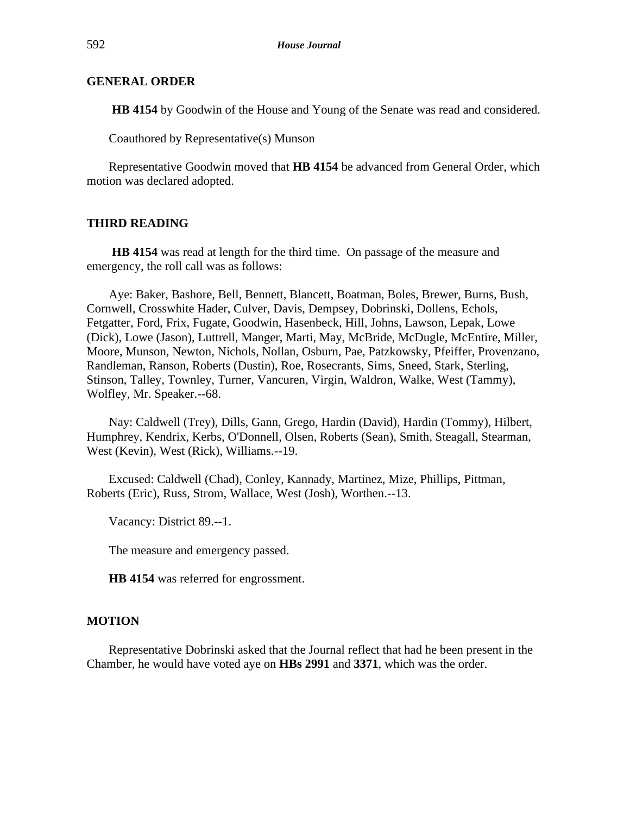## **GENERAL ORDER**

**HB 4154** by Goodwin of the House and Young of the Senate was read and considered.

Coauthored by Representative(s) Munson

Representative Goodwin moved that **HB 4154** be advanced from General Order, which motion was declared adopted.

## **THIRD READING**

**HB 4154** was read at length for the third time. On passage of the measure and emergency, the roll call was as follows:

Aye: Baker, Bashore, Bell, Bennett, Blancett, Boatman, Boles, Brewer, Burns, Bush, Cornwell, Crosswhite Hader, Culver, Davis, Dempsey, Dobrinski, Dollens, Echols, Fetgatter, Ford, Frix, Fugate, Goodwin, Hasenbeck, Hill, Johns, Lawson, Lepak, Lowe (Dick), Lowe (Jason), Luttrell, Manger, Marti, May, McBride, McDugle, McEntire, Miller, Moore, Munson, Newton, Nichols, Nollan, Osburn, Pae, Patzkowsky, Pfeiffer, Provenzano, Randleman, Ranson, Roberts (Dustin), Roe, Rosecrants, Sims, Sneed, Stark, Sterling, Stinson, Talley, Townley, Turner, Vancuren, Virgin, Waldron, Walke, West (Tammy), Wolfley, Mr. Speaker.--68.

Nay: Caldwell (Trey), Dills, Gann, Grego, Hardin (David), Hardin (Tommy), Hilbert, Humphrey, Kendrix, Kerbs, O'Donnell, Olsen, Roberts (Sean), Smith, Steagall, Stearman, West (Kevin), West (Rick), Williams.--19.

Excused: Caldwell (Chad), Conley, Kannady, Martinez, Mize, Phillips, Pittman, Roberts (Eric), Russ, Strom, Wallace, West (Josh), Worthen.--13.

Vacancy: District 89.--1.

The measure and emergency passed.

**HB 4154** was referred for engrossment.

#### **MOTION**

Representative Dobrinski asked that the Journal reflect that had he been present in the Chamber, he would have voted aye on **HBs 2991** and **3371**, which was the order.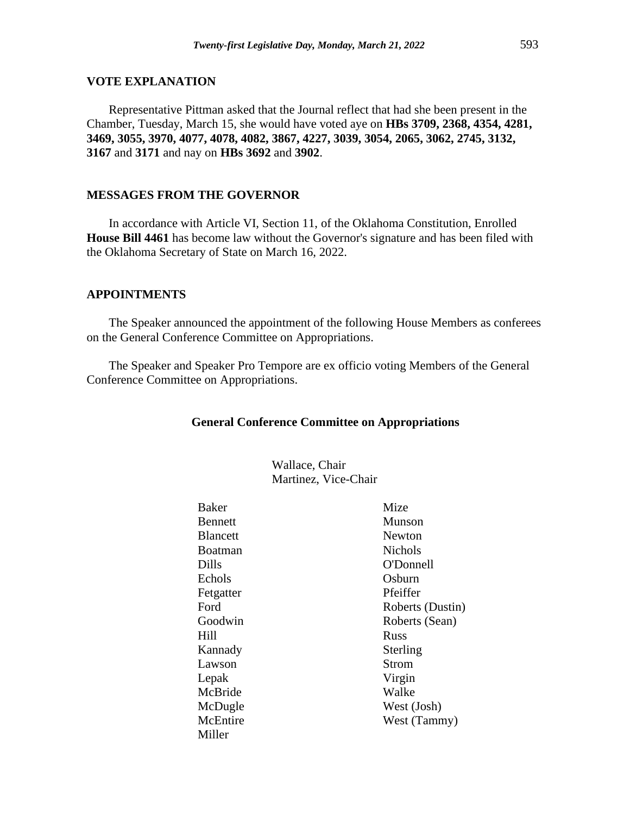## **VOTE EXPLANATION**

Representative Pittman asked that the Journal reflect that had she been present in the Chamber, Tuesday, March 15, she would have voted aye on **HBs 3709, 2368, 4354, 4281, 3469, 3055, 3970, 4077, 4078, 4082, 3867, 4227, 3039, 3054, 2065, 3062, 2745, 3132, 3167** and **3171** and nay on **HBs 3692** and **3902**.

## **MESSAGES FROM THE GOVERNOR**

In accordance with Article VI, Section 11, of the Oklahoma Constitution, Enrolled **House Bill 4461** has become law without the Governor's signature and has been filed with the Oklahoma Secretary of State on March 16, 2022.

## **APPOINTMENTS**

The Speaker announced the appointment of the following House Members as conferees on the General Conference Committee on Appropriations.

The Speaker and Speaker Pro Tempore are ex officio voting Members of the General Conference Committee on Appropriations.

#### **General Conference Committee on Appropriations**

Wallace, Chair Martinez, Vice-Chair

| Baker           | Mize             |
|-----------------|------------------|
| <b>Bennett</b>  | Munson           |
| <b>Blancett</b> | Newton           |
| Boatman         | <b>Nichols</b>   |
| Dills           | O'Donnell        |
| Echols          | Osburn           |
| Fetgatter       | Pfeiffer         |
| Ford            | Roberts (Dustin) |
| Goodwin         | Roberts (Sean)   |
| Hill            | <b>Russ</b>      |
| Kannady         | Sterling         |
| Lawson          | <b>Strom</b>     |
| Lepak           | Virgin           |
| McBride         | Walke            |
| McDugle         | West (Josh)      |
| McEntire        | West (Tammy)     |
| Miller          |                  |
|                 |                  |